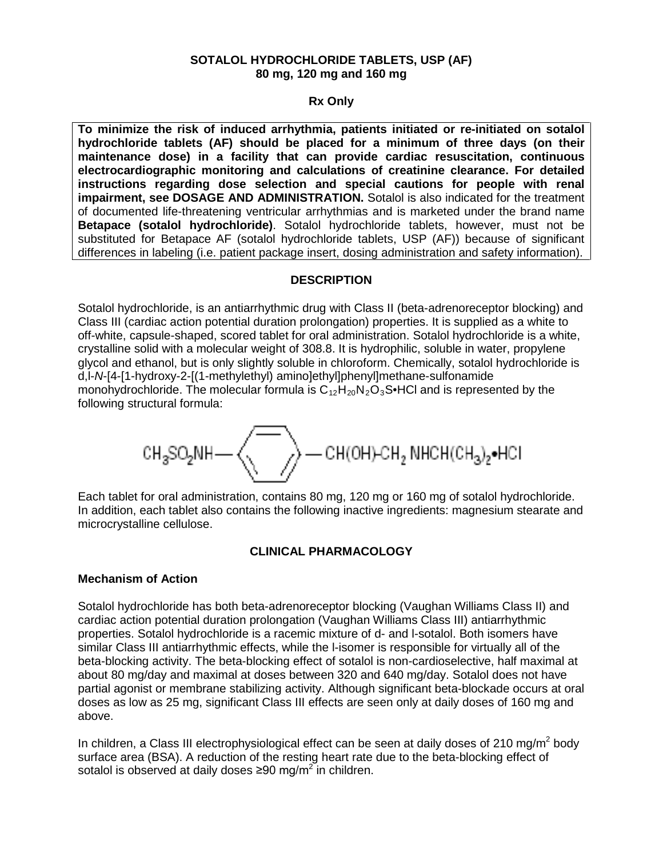### **SOTALOL HYDROCHLORIDE TABLETS, USP (AF) 80 mg, 120 mg and 160 mg**

## **Rx Only**

**To minimize the risk of induced arrhythmia, patients initiated or re-initiated on sotalol hydrochloride tablets (AF) should be placed for a minimum of three days (on their maintenance dose) in a facility that can provide cardiac resuscitation, continuous electrocardiographic monitoring and calculations of creatinine clearance. For detailed instructions regarding dose selection and special cautions for people with renal impairment, see DOSAGE AND ADMINISTRATION.** Sotalol is also indicated for the treatment of documented life-threatening ventricular arrhythmias and is marketed under the brand name **Betapace (sotalol hydrochloride)**. Sotalol hydrochloride tablets, however, must not be substituted for Betapace AF (sotalol hydrochloride tablets, USP (AF)) because of significant differences in labeling (i.e. patient package insert, dosing administration and safety information).

# **DESCRIPTION**

Sotalol hydrochloride, is an antiarrhythmic drug with Class II (beta-adrenoreceptor blocking) and Class III (cardiac action potential duration prolongation) properties. It is supplied as a white to off-white, capsule-shaped, scored tablet for oral administration. Sotalol hydrochloride is a white, crystalline solid with a molecular weight of 308.8. It is hydrophilic, soluble in water, propylene glycol and ethanol, but is only slightly soluble in chloroform. Chemically, sotalol hydrochloride is d,l-*N*-[4-[1-hydroxy-2-[(1-methylethyl) amino]ethyl]phenyl]methane-sulfonamide monohydrochloride. The molecular formula is  $C_{12}H_{20}N_2O_3S \cdot HCl$  and is represented by the following structural formula:

$$
\text{CH}_{3}\text{SO}_{2}\text{NH}\text{---}\left\langle \overbrace{\text{--}}\right\rangle \text{---CH(OH)-CH}_{2}\text{NHCH}(\text{CH}_{3})_{2}\text{--HCH}
$$

Each tablet for oral administration, contains 80 mg, 120 mg or 160 mg of sotalol hydrochloride. In addition, each tablet also contains the following inactive ingredients: magnesium stearate and microcrystalline cellulose.

# **CLINICAL PHARMACOLOGY**

### **Mechanism of Action**

Sotalol hydrochloride has both beta-adrenoreceptor blocking (Vaughan Williams Class II) and cardiac action potential duration prolongation (Vaughan Williams Class III) antiarrhythmic properties. Sotalol hydrochloride is a racemic mixture of d- and l-sotalol. Both isomers have similar Class III antiarrhythmic effects, while the l-isomer is responsible for virtually all of the beta-blocking activity. The beta-blocking effect of sotalol is non-cardioselective, half maximal at about 80 mg/day and maximal at doses between 320 and 640 mg/day. Sotalol does not have partial agonist or membrane stabilizing activity. Although significant beta-blockade occurs at oral doses as low as 25 mg, significant Class III effects are seen only at daily doses of 160 mg and above.

In children, a Class III electrophysiological effect can be seen at daily doses of 210 mg/m<sup>2</sup> body surface area (BSA). A reduction of the resting heart rate due to the beta-blocking effect of sotalol is observed at daily doses  $\geq 90$  mg/m<sup>2</sup> in children.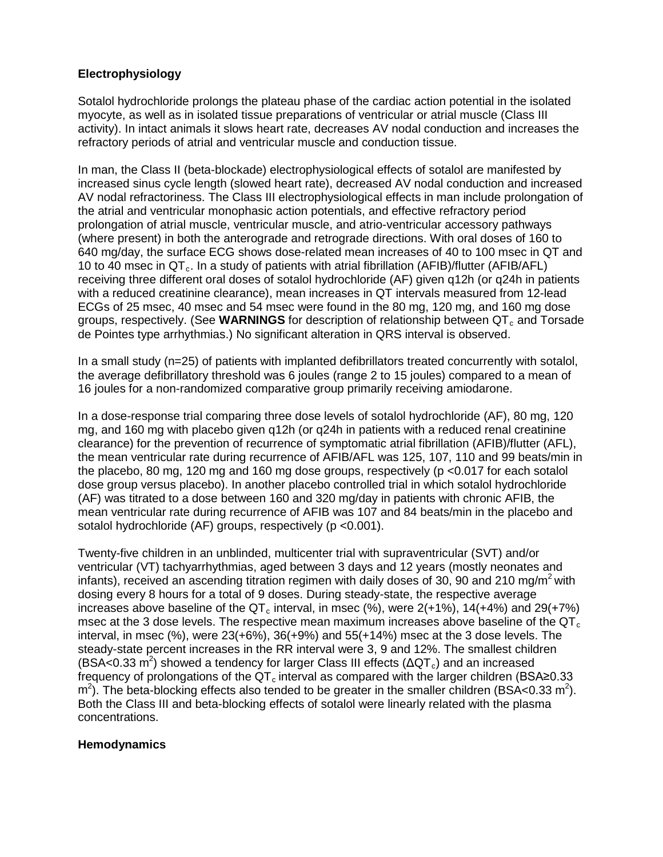# **Electrophysiology**

Sotalol hydrochloride prolongs the plateau phase of the cardiac action potential in the isolated myocyte, as well as in isolated tissue preparations of ventricular or atrial muscle (Class III activity). In intact animals it slows heart rate, decreases AV nodal conduction and increases the refractory periods of atrial and ventricular muscle and conduction tissue.

In man, the Class II (beta-blockade) electrophysiological effects of sotalol are manifested by increased sinus cycle length (slowed heart rate), decreased AV nodal conduction and increased AV nodal refractoriness. The Class III electrophysiological effects in man include prolongation of the atrial and ventricular monophasic action potentials, and effective refractory period prolongation of atrial muscle, ventricular muscle, and atrio-ventricular accessory pathways (where present) in both the anterograde and retrograde directions. With oral doses of 160 to 640 mg/day, the surface ECG shows dose-related mean increases of 40 to 100 msec in QT and 10 to 40 msec in  $QT_c$ . In a study of patients with atrial fibrillation (AFIB)/flutter (AFIB/AFL) receiving three different oral doses of sotalol hydrochloride (AF) given q12h (or q24h in patients with a reduced creatinine clearance), mean increases in QT intervals measured from 12-lead ECGs of 25 msec, 40 msec and 54 msec were found in the 80 mg, 120 mg, and 160 mg dose groups, respectively. (See **WARNINGS** for description of relationship between QT<sub>c</sub> and Torsade de Pointes type arrhythmias.) No significant alteration in QRS interval is observed.

In a small study (n=25) of patients with implanted defibrillators treated concurrently with sotalol, the average defibrillatory threshold was 6 joules (range 2 to 15 joules) compared to a mean of 16 joules for a non-randomized comparative group primarily receiving amiodarone.

In a dose-response trial comparing three dose levels of sotalol hydrochloride (AF), 80 mg, 120 mg, and 160 mg with placebo given q12h (or q24h in patients with a reduced renal creatinine clearance) for the prevention of recurrence of symptomatic atrial fibrillation (AFIB)/flutter (AFL), the mean ventricular rate during recurrence of AFIB/AFL was 125, 107, 110 and 99 beats/min in the placebo, 80 mg, 120 mg and 160 mg dose groups, respectively (p <0.017 for each sotalol dose group versus placebo). In another placebo controlled trial in which sotalol hydrochloride (AF) was titrated to a dose between 160 and 320 mg/day in patients with chronic AFIB, the mean ventricular rate during recurrence of AFIB was 107 and 84 beats/min in the placebo and sotalol hydrochloride (AF) groups, respectively (p <0.001).

Twenty-five children in an unblinded, multicenter trial with supraventricular (SVT) and/or ventricular (VT) tachyarrhythmias, aged between 3 days and 12 years (mostly neonates and infants), received an ascending titration regimen with daily doses of 30, 90 and 210 mg/m<sup>2</sup> with dosing every 8 hours for a total of 9 doses. During steady-state, the respective average increases above baseline of the  $\text{QT}_{c}$  interval, in msec (%), were 2(+1%), 14(+4%) and 29(+7%) msec at the 3 dose levels. The respective mean maximum increases above baseline of the  $QT<sub>c</sub>$ interval, in msec  $(\%)$ , were  $23(+6\%)$ ,  $36(+9\%)$  and  $55(+14\%)$  msec at the 3 dose levels. The steady-state percent increases in the RR interval were 3, 9 and 12%. The smallest children (BSA<0.33 m<sup>2</sup>) showed a tendency for larger Class III effects ( $\Delta$ QT<sub>c</sub>) and an increased frequency of prolongations of the  $QT<sub>c</sub>$  interval as compared with the larger children (BSA≥0.33  $\text{m}^2$ ). The beta-blocking effects also tended to be greater in the smaller children (BSA<0.33 m<sup>2</sup>). Both the Class III and beta-blocking effects of sotalol were linearly related with the plasma concentrations.

# **Hemodynamics**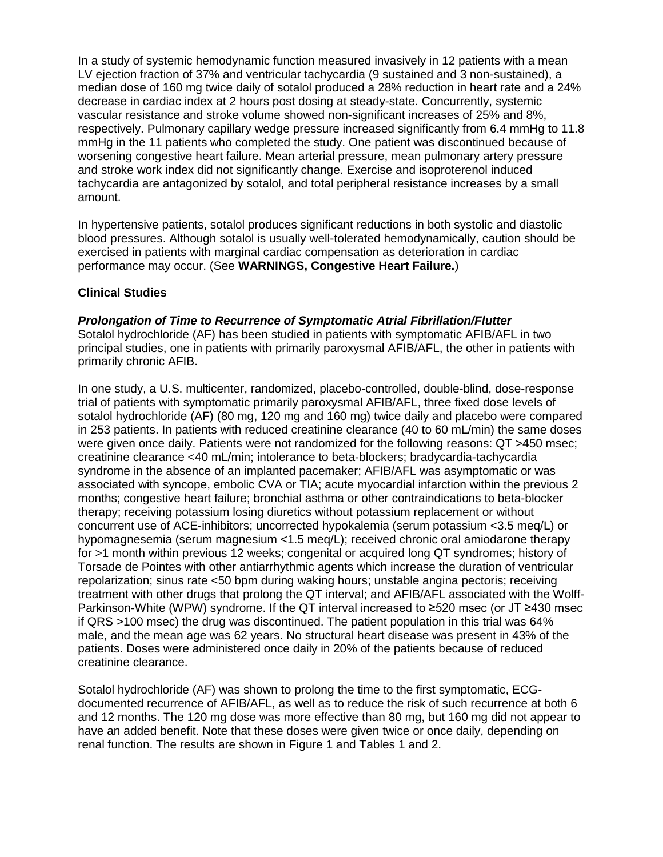In a study of systemic hemodynamic function measured invasively in 12 patients with a mean LV ejection fraction of 37% and ventricular tachycardia (9 sustained and 3 non-sustained), a median dose of 160 mg twice daily of sotalol produced a 28% reduction in heart rate and a 24% decrease in cardiac index at 2 hours post dosing at steady-state. Concurrently, systemic vascular resistance and stroke volume showed non-significant increases of 25% and 8%, respectively. Pulmonary capillary wedge pressure increased significantly from 6.4 mmHg to 11.8 mmHg in the 11 patients who completed the study. One patient was discontinued because of worsening congestive heart failure. Mean arterial pressure, mean pulmonary artery pressure and stroke work index did not significantly change. Exercise and isoproterenol induced tachycardia are antagonized by sotalol, and total peripheral resistance increases by a small amount.

In hypertensive patients, sotalol produces significant reductions in both systolic and diastolic blood pressures. Although sotalol is usually well-tolerated hemodynamically, caution should be exercised in patients with marginal cardiac compensation as deterioration in cardiac performance may occur. (See **WARNINGS, Congestive Heart Failure.**)

# **Clinical Studies**

### *Prolongation of Time to Recurrence of Symptomatic Atrial Fibrillation/Flutter*

Sotalol hydrochloride (AF) has been studied in patients with symptomatic AFIB/AFL in two principal studies, one in patients with primarily paroxysmal AFIB/AFL, the other in patients with primarily chronic AFIB.

In one study, a U.S. multicenter, randomized, placebo-controlled, double-blind, dose-response trial of patients with symptomatic primarily paroxysmal AFIB/AFL, three fixed dose levels of sotalol hydrochloride (AF) (80 mg, 120 mg and 160 mg) twice daily and placebo were compared in 253 patients. In patients with reduced creatinine clearance (40 to 60 mL/min) the same doses were given once daily. Patients were not randomized for the following reasons: QT >450 msec; creatinine clearance <40 mL/min; intolerance to beta-blockers; bradycardia-tachycardia syndrome in the absence of an implanted pacemaker; AFIB/AFL was asymptomatic or was associated with syncope, embolic CVA or TIA; acute myocardial infarction within the previous 2 months; congestive heart failure; bronchial asthma or other contraindications to beta-blocker therapy; receiving potassium losing diuretics without potassium replacement or without concurrent use of ACE-inhibitors; uncorrected hypokalemia (serum potassium <3.5 meq/L) or hypomagnesemia (serum magnesium <1.5 meq/L); received chronic oral amiodarone therapy for >1 month within previous 12 weeks; congenital or acquired long QT syndromes; history of Torsade de Pointes with other antiarrhythmic agents which increase the duration of ventricular repolarization; sinus rate <50 bpm during waking hours; unstable angina pectoris; receiving treatment with other drugs that prolong the QT interval; and AFIB/AFL associated with the Wolff-Parkinson-White (WPW) syndrome. If the QT interval increased to ≥520 msec (or JT ≥430 msec if QRS >100 msec) the drug was discontinued. The patient population in this trial was 64% male, and the mean age was 62 years. No structural heart disease was present in 43% of the patients. Doses were administered once daily in 20% of the patients because of reduced creatinine clearance.

Sotalol hydrochloride (AF) was shown to prolong the time to the first symptomatic, ECGdocumented recurrence of AFIB/AFL, as well as to reduce the risk of such recurrence at both 6 and 12 months. The 120 mg dose was more effective than 80 mg, but 160 mg did not appear to have an added benefit. Note that these doses were given twice or once daily, depending on renal function. The results are shown in Figure 1 and Tables 1 and 2.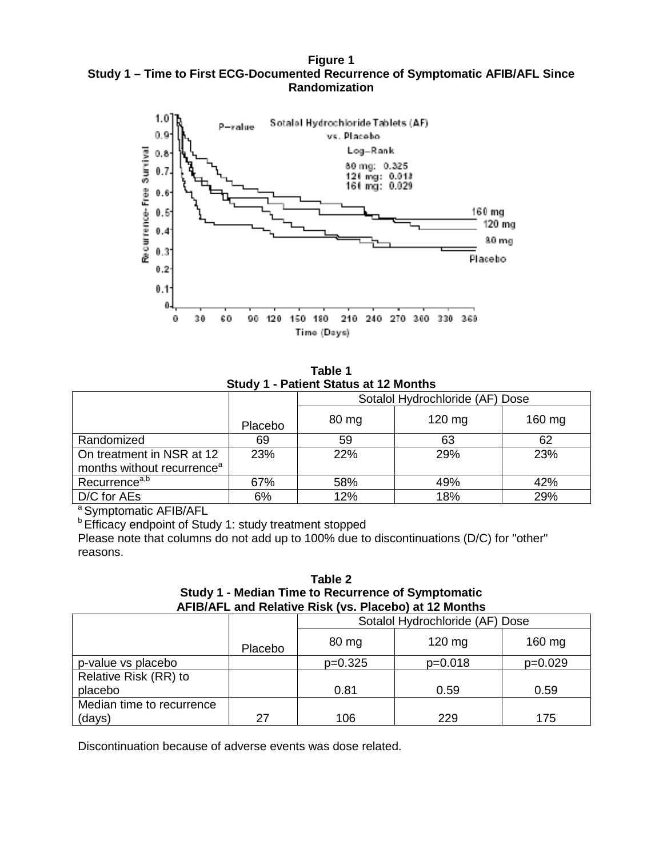**Figure 1 Study 1 – Time to First ECG-Documented Recurrence of Symptomatic AFIB/AFL Since Randomization**



**Table 1 Study 1 - Patient Status at 12 Months**

| <b></b> .<br>$\sim$ 1 GeV III Status at 12 MS IIIIS                 |            |                                 |          |        |
|---------------------------------------------------------------------|------------|---------------------------------|----------|--------|
|                                                                     |            | Sotalol Hydrochloride (AF) Dose |          |        |
|                                                                     | Placebo    | 80 mg                           | $120$ mg | 160 mg |
| Randomized                                                          | 69         | 59                              | 63       | 62     |
| On treatment in NSR at 12<br>months without recurrence <sup>a</sup> | <b>23%</b> | <b>22%</b>                      | 29%      | 23%    |
| Recurrence <sup>a,b</sup>                                           | 67%        | 58%                             | 49%      | 42%    |
| D/C for AEs                                                         | 6%         | 12%                             | 18%      | 29%    |

a Symptomatic AFIB/AFL

**b Efficacy endpoint of Study 1: study treatment stopped** 

Please note that columns do not add up to 100% due to discontinuations (D/C) for "other" reasons.

**Table 2 Study 1 - Median Time to Recurrence of Symptomatic AFIB/AFL and Relative Risk (vs. Placebo) at 12 Months**

|                           | Sotalol Hydrochloride (AF) Dose |           |           |           |
|---------------------------|---------------------------------|-----------|-----------|-----------|
|                           | Placebo                         | 80 mg     | $120$ mg  | $160$ mg  |
| p-value vs placebo        |                                 | $p=0.325$ | $p=0.018$ | $p=0.029$ |
| Relative Risk (RR) to     |                                 |           |           |           |
| placebo                   |                                 | 0.81      | 0.59      | 0.59      |
| Median time to recurrence |                                 |           |           |           |
| (days)                    | 27                              | 106       | 229       | 175       |

Discontinuation because of adverse events was dose related.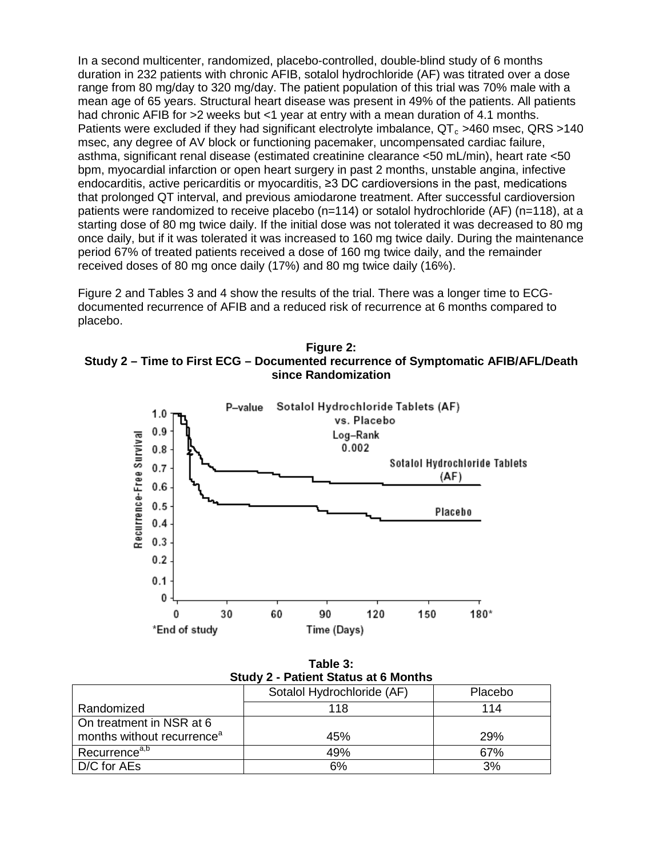In a second multicenter, randomized, placebo-controlled, double-blind study of 6 months duration in 232 patients with chronic AFIB, sotalol hydrochloride (AF) was titrated over a dose range from 80 mg/day to 320 mg/day. The patient population of this trial was 70% male with a mean age of 65 years. Structural heart disease was present in 49% of the patients. All patients had chronic AFIB for >2 weeks but <1 year at entry with a mean duration of 4.1 months. Patients were excluded if they had significant electrolyte imbalance,  $QT<sub>c</sub> >460$  msec,  $QRS >140$ msec, any degree of AV block or functioning pacemaker, uncompensated cardiac failure, asthma, significant renal disease (estimated creatinine clearance <50 mL/min), heart rate <50 bpm, myocardial infarction or open heart surgery in past 2 months, unstable angina, infective endocarditis, active pericarditis or myocarditis, ≥3 DC cardioversions in the past, medications that prolonged QT interval, and previous amiodarone treatment. After successful cardioversion patients were randomized to receive placebo (n=114) or sotalol hydrochloride (AF) (n=118), at a starting dose of 80 mg twice daily. If the initial dose was not tolerated it was decreased to 80 mg once daily, but if it was tolerated it was increased to 160 mg twice daily. During the maintenance period 67% of treated patients received a dose of 160 mg twice daily, and the remainder received doses of 80 mg once daily (17%) and 80 mg twice daily (16%).

Figure 2 and Tables 3 and 4 show the results of the trial. There was a longer time to ECGdocumented recurrence of AFIB and a reduced risk of recurrence at 6 months compared to placebo.

**Figure 2: Study 2 – Time to First ECG – Documented recurrence of Symptomatic AFIB/AFL/Death since Randomization**



**Table 3: Study 2 - Patient Status at 6 Months**

|                                        | Sotalol Hydrochloride (AF) | Placebo |
|----------------------------------------|----------------------------|---------|
| Randomized                             | 118                        | 114     |
| On treatment in NSR at 6               |                            |         |
| months without recurrence <sup>a</sup> | 45%                        | 29%     |
| Recurrence <sup>a,b</sup>              | 49%                        | 67%     |
| D/C for AEs                            | 6%                         | 3%      |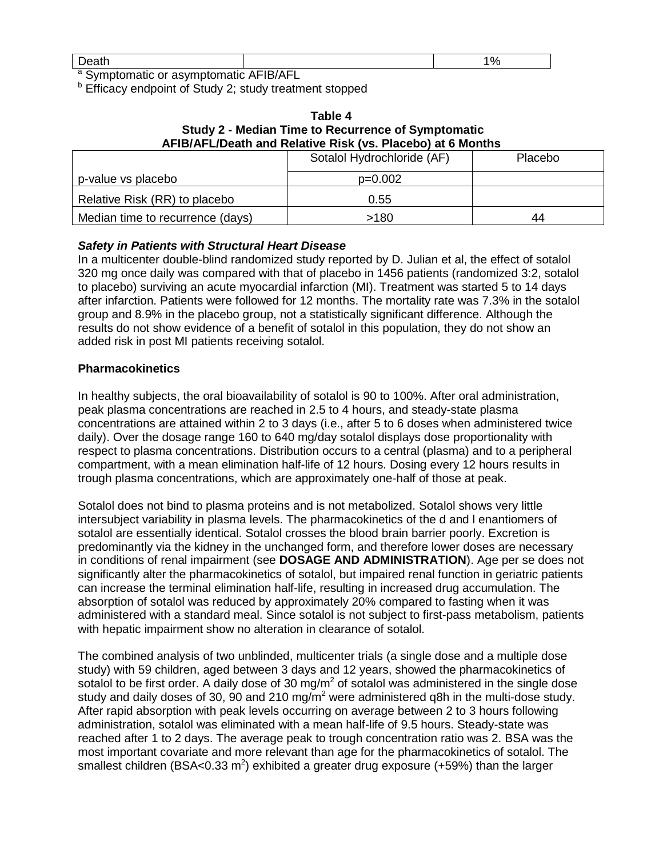| $\sim$         |  |
|----------------|--|
| - - -<br>Deall |  |

<sup>a</sup> Symptomatic or asymptomatic AFIB/AFL

**b** Efficacy endpoint of Study 2; study treatment stopped

| Table 4                                                    |  |  |  |
|------------------------------------------------------------|--|--|--|
| Study 2 - Median Time to Recurrence of Symptomatic         |  |  |  |
| AFIB/AFL/Death and Relative Risk (vs. Placebo) at 6 Months |  |  |  |

|                                  | Sotalol Hydrochloride (AF) | <b>Placebo</b> |
|----------------------------------|----------------------------|----------------|
| p-value vs placebo               | $p=0.002$                  |                |
| Relative Risk (RR) to placebo    | 0.55                       |                |
| Median time to recurrence (days) | >180                       | 44             |

# *Safety in Patients with Structural Heart Disease*

In a multicenter double-blind randomized study reported by D. Julian et al, the effect of sotalol 320 mg once daily was compared with that of placebo in 1456 patients (randomized 3:2, sotalol to placebo) surviving an acute myocardial infarction (MI). Treatment was started 5 to 14 days after infarction. Patients were followed for 12 months. The mortality rate was 7.3% in the sotalol group and 8.9% in the placebo group, not a statistically significant difference. Although the results do not show evidence of a benefit of sotalol in this population, they do not show an added risk in post MI patients receiving sotalol.

### **Pharmacokinetics**

In healthy subjects, the oral bioavailability of sotalol is 90 to 100%. After oral administration, peak plasma concentrations are reached in 2.5 to 4 hours, and steady-state plasma concentrations are attained within 2 to 3 days (i.e., after 5 to 6 doses when administered twice daily). Over the dosage range 160 to 640 mg/day sotalol displays dose proportionality with respect to plasma concentrations. Distribution occurs to a central (plasma) and to a peripheral compartment, with a mean elimination half-life of 12 hours. Dosing every 12 hours results in trough plasma concentrations, which are approximately one-half of those at peak.

Sotalol does not bind to plasma proteins and is not metabolized. Sotalol shows very little intersubject variability in plasma levels. The pharmacokinetics of the d and l enantiomers of sotalol are essentially identical. Sotalol crosses the blood brain barrier poorly. Excretion is predominantly via the kidney in the unchanged form, and therefore lower doses are necessary in conditions of renal impairment (see **DOSAGE AND ADMINISTRATION**). Age per se does not significantly alter the pharmacokinetics of sotalol, but impaired renal function in geriatric patients can increase the terminal elimination half-life, resulting in increased drug accumulation. The absorption of sotalol was reduced by approximately 20% compared to fasting when it was administered with a standard meal. Since sotalol is not subject to first-pass metabolism, patients with hepatic impairment show no alteration in clearance of sotalol.

The combined analysis of two unblinded, multicenter trials (a single dose and a multiple dose study) with 59 children, aged between 3 days and 12 years, showed the pharmacokinetics of sotalol to be first order. A daily dose of 30 mg/ $m<sup>2</sup>$  of sotalol was administered in the single dose study and daily doses of 30, 90 and 210 mg/ $\overline{m}^2$  were administered g8h in the multi-dose study. After rapid absorption with peak levels occurring on average between 2 to 3 hours following administration, sotalol was eliminated with a mean half-life of 9.5 hours. Steady-state was reached after 1 to 2 days. The average peak to trough concentration ratio was 2. BSA was the most important covariate and more relevant than age for the pharmacokinetics of sotalol. The smallest children (BSA<0.33 m<sup>2</sup>) exhibited a greater drug exposure (+59%) than the larger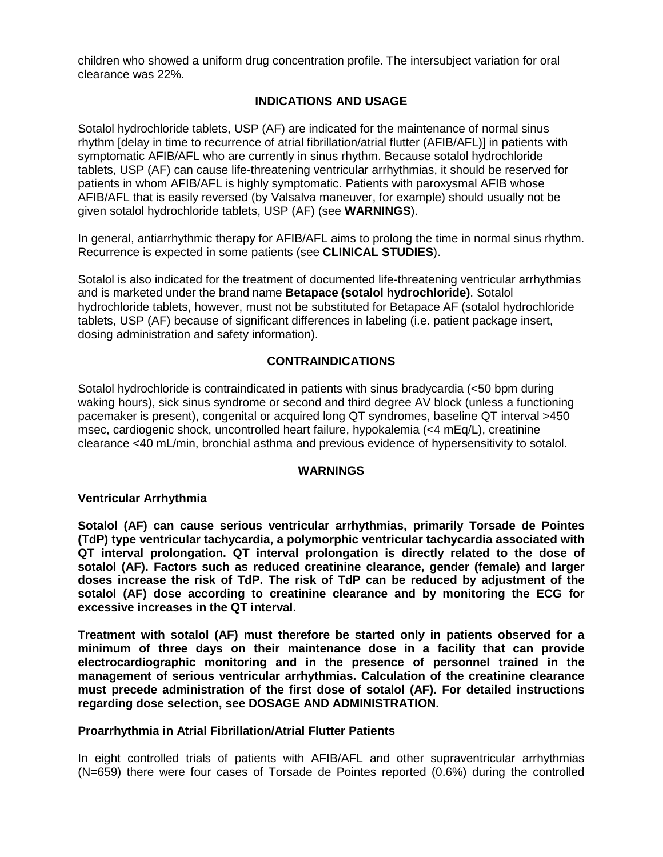children who showed a uniform drug concentration profile. The intersubject variation for oral clearance was 22%.

# **INDICATIONS AND USAGE**

Sotalol hydrochloride tablets, USP (AF) are indicated for the maintenance of normal sinus rhythm [delay in time to recurrence of atrial fibrillation/atrial flutter (AFIB/AFL)] in patients with symptomatic AFIB/AFL who are currently in sinus rhythm. Because sotalol hydrochloride tablets, USP (AF) can cause life-threatening ventricular arrhythmias, it should be reserved for patients in whom AFIB/AFL is highly symptomatic. Patients with paroxysmal AFIB whose AFIB/AFL that is easily reversed (by Valsalva maneuver, for example) should usually not be given sotalol hydrochloride tablets, USP (AF) (see **WARNINGS**).

In general, antiarrhythmic therapy for AFIB/AFL aims to prolong the time in normal sinus rhythm. Recurrence is expected in some patients (see **CLINICAL STUDIES**).

Sotalol is also indicated for the treatment of documented life-threatening ventricular arrhythmias and is marketed under the brand name **Betapace (sotalol hydrochloride)**. Sotalol hydrochloride tablets, however, must not be substituted for Betapace AF (sotalol hydrochloride tablets, USP (AF) because of significant differences in labeling (i.e. patient package insert, dosing administration and safety information).

# **CONTRAINDICATIONS**

Sotalol hydrochloride is contraindicated in patients with sinus bradycardia (<50 bpm during waking hours), sick sinus syndrome or second and third degree AV block (unless a functioning pacemaker is present), congenital or acquired long QT syndromes, baseline QT interval >450 msec, cardiogenic shock, uncontrolled heart failure, hypokalemia (<4 mEq/L), creatinine clearance <40 mL/min, bronchial asthma and previous evidence of hypersensitivity to sotalol.

#### **WARNINGS**

### **Ventricular Arrhythmia**

**Sotalol (AF) can cause serious ventricular arrhythmias, primarily Torsade de Pointes (TdP) type ventricular tachycardia, a polymorphic ventricular tachycardia associated with QT interval prolongation. QT interval prolongation is directly related to the dose of sotalol (AF). Factors such as reduced creatinine clearance, gender (female) and larger doses increase the risk of TdP. The risk of TdP can be reduced by adjustment of the sotalol (AF) dose according to creatinine clearance and by monitoring the ECG for excessive increases in the QT interval.**

**Treatment with sotalol (AF) must therefore be started only in patients observed for a minimum of three days on their maintenance dose in a facility that can provide electrocardiographic monitoring and in the presence of personnel trained in the management of serious ventricular arrhythmias. Calculation of the creatinine clearance must precede administration of the first dose of sotalol (AF). For detailed instructions regarding dose selection, see DOSAGE AND ADMINISTRATION.**

### **Proarrhythmia in Atrial Fibrillation/Atrial Flutter Patients**

In eight controlled trials of patients with AFIB/AFL and other supraventricular arrhythmias (N=659) there were four cases of Torsade de Pointes reported (0.6%) during the controlled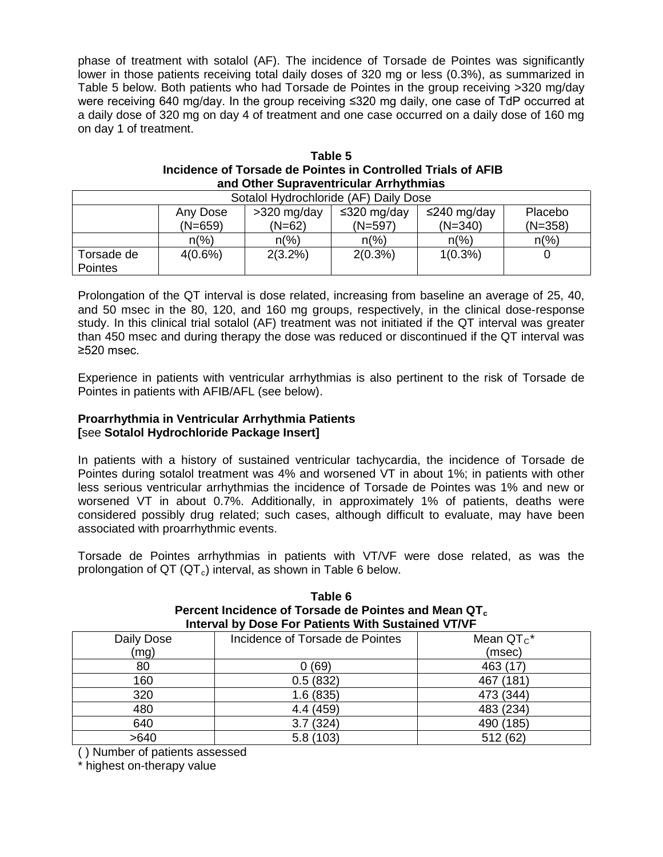phase of treatment with sotalol (AF). The incidence of Torsade de Pointes was significantly lower in those patients receiving total daily doses of 320 mg or less (0.3%), as summarized in Table 5 below. Both patients who had Torsade de Pointes in the group receiving >320 mg/day were receiving 640 mg/day. In the group receiving ≤320 mg daily, one case of TdP occurred at a daily dose of 320 mg on day 4 of treatment and one case occurred on a daily dose of 160 mg on day 1 of treatment.

| Table 5                                                      |
|--------------------------------------------------------------|
| Incidence of Torsade de Pointes in Controlled Trials of AFIB |
| and Other Supraventricular Arrhythmias                       |

| Sotalol Hydrochloride (AF) Daily Dose |                       |                       |                          |                          |                      |  |
|---------------------------------------|-----------------------|-----------------------|--------------------------|--------------------------|----------------------|--|
|                                       | Any Dose<br>$(N=659)$ | >320 mg/day<br>(N=62) | ≤320 mg/day<br>$(N=597)$ | ≤240 mg/day<br>$(N=340)$ | Placebo<br>$(N=358)$ |  |
|                                       |                       |                       |                          |                          |                      |  |
|                                       | $n(\%)$               | $n\frac{9}{6}$        | $n\frac{9}{6}$           | $n\frac{9}{6}$           | $n\frac{9}{6}$       |  |
| Torsade de<br><b>Pointes</b>          | 4(0.6%)               | $2(3.2\%)$            | $2(0.3\%)$               | $1(0.3\%)$               |                      |  |

Prolongation of the QT interval is dose related, increasing from baseline an average of 25, 40, and 50 msec in the 80, 120, and 160 mg groups, respectively, in the clinical dose-response study. In this clinical trial sotalol (AF) treatment was not initiated if the QT interval was greater than 450 msec and during therapy the dose was reduced or discontinued if the QT interval was ≥520 msec.

Experience in patients with ventricular arrhythmias is also pertinent to the risk of Torsade de Pointes in patients with AFIB/AFL (see below).

# **Proarrhythmia in Ventricular Arrhythmia Patients [**see **Sotalol Hydrochloride Package Insert]**

In patients with a history of sustained ventricular tachycardia, the incidence of Torsade de Pointes during sotalol treatment was 4% and worsened VT in about 1%; in patients with other less serious ventricular arrhythmias the incidence of Torsade de Pointes was 1% and new or worsened VT in about 0.7%. Additionally, in approximately 1% of patients, deaths were considered possibly drug related; such cases, although difficult to evaluate, may have been associated with proarrhythmic events.

Torsade de Pointes arrhythmias in patients with VT/VF were dose related, as was the prolongation of  $QT(QT_c)$  interval, as shown in Table 6 below.

| Interval by Dose For Patients With Sustained VT/VF |                                 |              |  |  |
|----------------------------------------------------|---------------------------------|--------------|--|--|
| Daily Dose                                         | Incidence of Torsade de Pointes | Mean $QTc$ * |  |  |
| (mg)                                               |                                 | (msec)       |  |  |
| 80                                                 | 0(69)                           | 463 (17)     |  |  |
| 160                                                | 0.5(832)                        | 467 (181)    |  |  |
| 320                                                | 1.6(835)                        | 473 (344)    |  |  |
| 480                                                | 4.4 (459)                       | 483 (234)    |  |  |
| 640                                                | 3.7(324)                        | 490 (185)    |  |  |
| >640                                               | 5.8(103)                        | 512 (62)     |  |  |
|                                                    |                                 |              |  |  |

**Table 6** Percent Incidence of Torsade de Pointes and Mean QT<sub>c</sub>

( ) Number of patients assessed

\* highest on-therapy value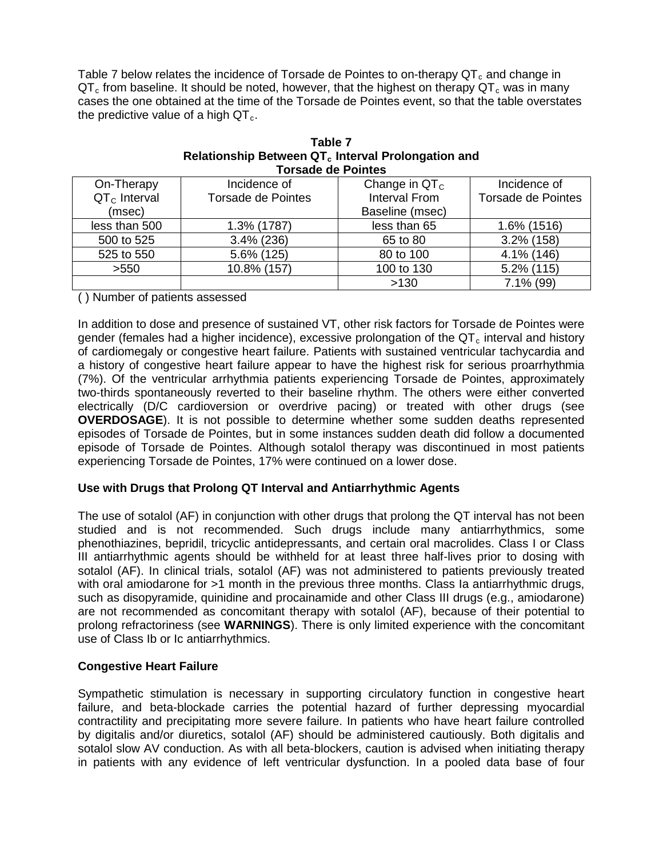Table 7 below relates the incidence of Torsade de Pointes to on-therapy  $QT_c$  and change in  $QT<sub>c</sub>$  from baseline. It should be noted, however, that the highest on therapy  $QT<sub>c</sub>$  was in many cases the one obtained at the time of the Torsade de Pointes event, so that the table overstates the predictive value of a high  $QT<sub>c</sub>$ .

| <b>Torsade de Pointes</b> |                           |                 |                           |  |  |  |
|---------------------------|---------------------------|-----------------|---------------------------|--|--|--|
| On-Therapy                | Incidence of              | Change in $QTc$ | Incidence of              |  |  |  |
| $QTc$ Interval            | <b>Torsade de Pointes</b> | Interval From   | <b>Torsade de Pointes</b> |  |  |  |
| (msec)                    |                           | Baseline (msec) |                           |  |  |  |
| less than 500             | 1.3% (1787)               | less than 65    | 1.6% (1516)               |  |  |  |
| 500 to 525                | $3.4\%$ (236)             | 65 to 80        | $3.2\%$ (158)             |  |  |  |
| 525 to 550                | 5.6% (125)                | 80 to 100       | 4.1% (146)                |  |  |  |
| >550                      | 10.8% (157)               | 100 to 130      | $5.2\%$ (115)             |  |  |  |
|                           |                           | >130            | $7.1\%$ (99)              |  |  |  |

| Table 7                                                        |
|----------------------------------------------------------------|
| Relationship Between QT <sub>c</sub> Interval Prolongation and |
| <b>Torsade de Pointes</b>                                      |

( ) Number of patients assessed

In addition to dose and presence of sustained VT, other risk factors for Torsade de Pointes were gender (females had a higher incidence), excessive prolongation of the  $QT<sub>c</sub>$  interval and history of cardiomegaly or congestive heart failure. Patients with sustained ventricular tachycardia and a history of congestive heart failure appear to have the highest risk for serious proarrhythmia (7%). Of the ventricular arrhythmia patients experiencing Torsade de Pointes, approximately two-thirds spontaneously reverted to their baseline rhythm. The others were either converted electrically (D/C cardioversion or overdrive pacing) or treated with other drugs (see **OVERDOSAGE**). It is not possible to determine whether some sudden deaths represented episodes of Torsade de Pointes, but in some instances sudden death did follow a documented episode of Torsade de Pointes. Although sotalol therapy was discontinued in most patients experiencing Torsade de Pointes, 17% were continued on a lower dose.

# **Use with Drugs that Prolong QT Interval and Antiarrhythmic Agents**

The use of sotalol (AF) in conjunction with other drugs that prolong the QT interval has not been studied and is not recommended. Such drugs include many antiarrhythmics, some phenothiazines, bepridil, tricyclic antidepressants, and certain oral macrolides. Class I or Class III antiarrhythmic agents should be withheld for at least three half-lives prior to dosing with sotalol (AF). In clinical trials, sotalol (AF) was not administered to patients previously treated with oral amiodarone for >1 month in the previous three months. Class Ia antiarrhythmic drugs, such as disopyramide, quinidine and procainamide and other Class III drugs (e.g., amiodarone) are not recommended as concomitant therapy with sotalol (AF), because of their potential to prolong refractoriness (see **WARNINGS**). There is only limited experience with the concomitant use of Class Ib or Ic antiarrhythmics.

# **Congestive Heart Failure**

Sympathetic stimulation is necessary in supporting circulatory function in congestive heart failure, and beta-blockade carries the potential hazard of further depressing myocardial contractility and precipitating more severe failure. In patients who have heart failure controlled by digitalis and/or diuretics, sotalol (AF) should be administered cautiously. Both digitalis and sotalol slow AV conduction. As with all beta-blockers, caution is advised when initiating therapy in patients with any evidence of left ventricular dysfunction. In a pooled data base of four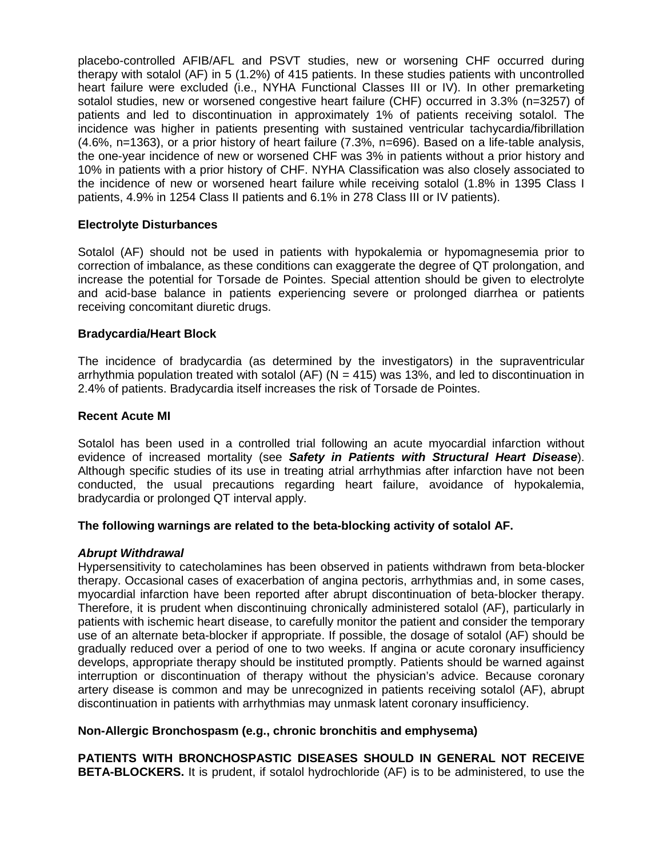placebo-controlled AFIB/AFL and PSVT studies, new or worsening CHF occurred during therapy with sotalol (AF) in 5 (1.2%) of 415 patients. In these studies patients with uncontrolled heart failure were excluded (i.e., NYHA Functional Classes III or IV). In other premarketing sotalol studies, new or worsened congestive heart failure (CHF) occurred in 3.3% (n=3257) of patients and led to discontinuation in approximately 1% of patients receiving sotalol. The incidence was higher in patients presenting with sustained ventricular tachycardia/fibrillation (4.6%, n=1363), or a prior history of heart failure (7.3%, n=696). Based on a life-table analysis, the one-year incidence of new or worsened CHF was 3% in patients without a prior history and 10% in patients with a prior history of CHF. NYHA Classification was also closely associated to the incidence of new or worsened heart failure while receiving sotalol (1.8% in 1395 Class I patients, 4.9% in 1254 Class II patients and 6.1% in 278 Class III or IV patients).

# **Electrolyte Disturbances**

Sotalol (AF) should not be used in patients with hypokalemia or hypomagnesemia prior to correction of imbalance, as these conditions can exaggerate the degree of QT prolongation, and increase the potential for Torsade de Pointes. Special attention should be given to electrolyte and acid-base balance in patients experiencing severe or prolonged diarrhea or patients receiving concomitant diuretic drugs.

# **Bradycardia/Heart Block**

The incidence of bradycardia (as determined by the investigators) in the supraventricular arrhythmia population treated with sotalol (AF) ( $N = 415$ ) was 13%, and led to discontinuation in 2.4% of patients. Bradycardia itself increases the risk of Torsade de Pointes.

### **Recent Acute MI**

Sotalol has been used in a controlled trial following an acute myocardial infarction without evidence of increased mortality (see *Safety in Patients with Structural Heart Disease*). Although specific studies of its use in treating atrial arrhythmias after infarction have not been conducted, the usual precautions regarding heart failure, avoidance of hypokalemia, bradycardia or prolonged QT interval apply.

### **The following warnings are related to the beta-blocking activity of sotalol AF.**

### *Abrupt Withdrawal*

Hypersensitivity to catecholamines has been observed in patients withdrawn from beta-blocker therapy. Occasional cases of exacerbation of angina pectoris, arrhythmias and, in some cases, myocardial infarction have been reported after abrupt discontinuation of beta-blocker therapy. Therefore, it is prudent when discontinuing chronically administered sotalol (AF), particularly in patients with ischemic heart disease, to carefully monitor the patient and consider the temporary use of an alternate beta-blocker if appropriate. If possible, the dosage of sotalol (AF) should be gradually reduced over a period of one to two weeks. If angina or acute coronary insufficiency develops, appropriate therapy should be instituted promptly. Patients should be warned against interruption or discontinuation of therapy without the physician's advice. Because coronary artery disease is common and may be unrecognized in patients receiving sotalol (AF), abrupt discontinuation in patients with arrhythmias may unmask latent coronary insufficiency.

### **Non-Allergic Bronchospasm (e.g., chronic bronchitis and emphysema)**

**PATIENTS WITH BRONCHOSPASTIC DISEASES SHOULD IN GENERAL NOT RECEIVE BETA-BLOCKERS.** It is prudent, if sotalol hydrochloride (AF) is to be administered, to use the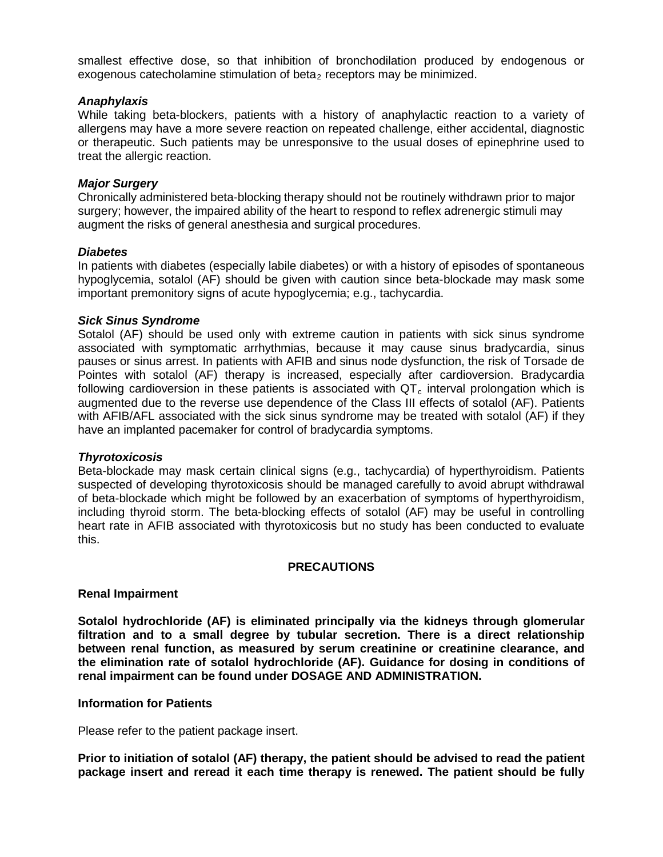smallest effective dose, so that inhibition of bronchodilation produced by endogenous or exogenous catecholamine stimulation of beta<sub>2</sub> receptors may be minimized.

### *Anaphylaxis*

While taking beta-blockers, patients with a history of anaphylactic reaction to a variety of allergens may have a more severe reaction on repeated challenge, either accidental, diagnostic or therapeutic. Such patients may be unresponsive to the usual doses of epinephrine used to treat the allergic reaction.

### *Major Surgery*

Chronically administered beta-blocking therapy should not be routinely withdrawn prior to major surgery; however, the impaired ability of the heart to respond to reflex adrenergic stimuli may augment the risks of general anesthesia and surgical procedures.

#### *Diabetes*

In patients with diabetes (especially labile diabetes) or with a history of episodes of spontaneous hypoglycemia, sotalol (AF) should be given with caution since beta-blockade may mask some important premonitory signs of acute hypoglycemia; e.g., tachycardia.

### *Sick Sinus Syndrome*

Sotalol (AF) should be used only with extreme caution in patients with sick sinus syndrome associated with symptomatic arrhythmias, because it may cause sinus bradycardia, sinus pauses or sinus arrest. In patients with AFIB and sinus node dysfunction, the risk of Torsade de Pointes with sotalol (AF) therapy is increased, especially after cardioversion. Bradycardia following cardioversion in these patients is associated with  $QT<sub>c</sub>$  interval prolongation which is augmented due to the reverse use dependence of the Class III effects of sotalol (AF). Patients with AFIB/AFL associated with the sick sinus syndrome may be treated with sotalol (AF) if they have an implanted pacemaker for control of bradycardia symptoms.

### *Thyrotoxicosis*

Beta-blockade may mask certain clinical signs (e.g., tachycardia) of hyperthyroidism. Patients suspected of developing thyrotoxicosis should be managed carefully to avoid abrupt withdrawal of beta-blockade which might be followed by an exacerbation of symptoms of hyperthyroidism, including thyroid storm. The beta-blocking effects of sotalol (AF) may be useful in controlling heart rate in AFIB associated with thyrotoxicosis but no study has been conducted to evaluate this.

### **PRECAUTIONS**

#### **Renal Impairment**

**Sotalol hydrochloride (AF) is eliminated principally via the kidneys through glomerular filtration and to a small degree by tubular secretion. There is a direct relationship between renal function, as measured by serum creatinine or creatinine clearance, and the elimination rate of sotalol hydrochloride (AF). Guidance for dosing in conditions of renal impairment can be found under DOSAGE AND ADMINISTRATION.**

#### **Information for Patients**

Please refer to the patient package insert.

**Prior to initiation of sotalol (AF) therapy, the patient should be advised to read the patient package insert and reread it each time therapy is renewed. The patient should be fully**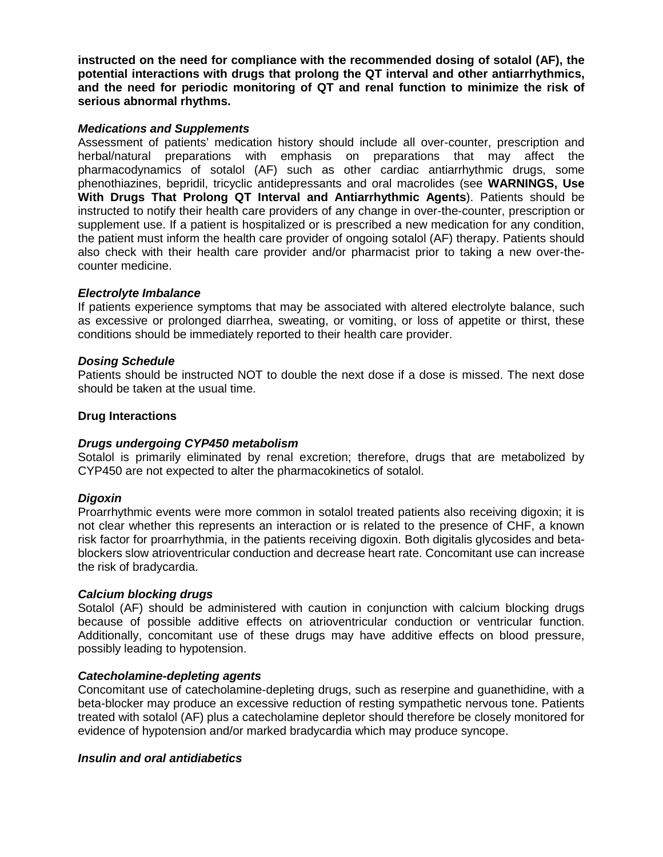**instructed on the need for compliance with the recommended dosing of sotalol (AF), the potential interactions with drugs that prolong the QT interval and other antiarrhythmics, and the need for periodic monitoring of QT and renal function to minimize the risk of serious abnormal rhythms.**

## *Medications and Supplements*

Assessment of patients' medication history should include all over-counter, prescription and herbal/natural preparations with emphasis on preparations that may affect the pharmacodynamics of sotalol (AF) such as other cardiac antiarrhythmic drugs, some phenothiazines, bepridil, tricyclic antidepressants and oral macrolides (see **WARNINGS, Use With Drugs That Prolong QT Interval and Antiarrhythmic Agents**). Patients should be instructed to notify their health care providers of any change in over-the-counter, prescription or supplement use. If a patient is hospitalized or is prescribed a new medication for any condition, the patient must inform the health care provider of ongoing sotalol (AF) therapy. Patients should also check with their health care provider and/or pharmacist prior to taking a new over-thecounter medicine.

# *Electrolyte Imbalance*

If patients experience symptoms that may be associated with altered electrolyte balance, such as excessive or prolonged diarrhea, sweating, or vomiting, or loss of appetite or thirst, these conditions should be immediately reported to their health care provider.

# *Dosing Schedule*

Patients should be instructed NOT to double the next dose if a dose is missed. The next dose should be taken at the usual time.

# **Drug Interactions**

# *Drugs undergoing CYP450 metabolism*

Sotalol is primarily eliminated by renal excretion; therefore, drugs that are metabolized by CYP450 are not expected to alter the pharmacokinetics of sotalol.

### *Digoxin*

Proarrhythmic events were more common in sotalol treated patients also receiving digoxin; it is not clear whether this represents an interaction or is related to the presence of CHF, a known risk factor for proarrhythmia, in the patients receiving digoxin. Both digitalis glycosides and betablockers slow atrioventricular conduction and decrease heart rate. Concomitant use can increase the risk of bradycardia.

### *Calcium blocking drugs*

Sotalol (AF) should be administered with caution in conjunction with calcium blocking drugs because of possible additive effects on atrioventricular conduction or ventricular function. Additionally, concomitant use of these drugs may have additive effects on blood pressure, possibly leading to hypotension.

### *Catecholamine-depleting agents*

Concomitant use of catecholamine-depleting drugs, such as reserpine and guanethidine, with a beta-blocker may produce an excessive reduction of resting sympathetic nervous tone. Patients treated with sotalol (AF) plus a catecholamine depletor should therefore be closely monitored for evidence of hypotension and/or marked bradycardia which may produce syncope.

### *Insulin and oral antidiabetics*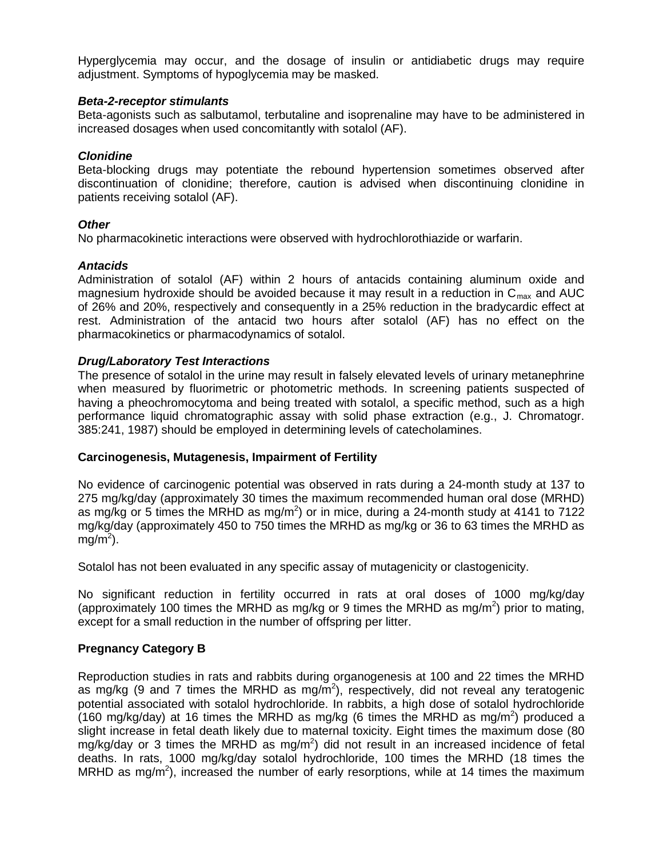Hyperglycemia may occur, and the dosage of insulin or antidiabetic drugs may require adjustment. Symptoms of hypoglycemia may be masked.

### *Beta-2-receptor stimulants*

Beta-agonists such as salbutamol, terbutaline and isoprenaline may have to be administered in increased dosages when used concomitantly with sotalol (AF).

## *Clonidine*

Beta-blocking drugs may potentiate the rebound hypertension sometimes observed after discontinuation of clonidine; therefore, caution is advised when discontinuing clonidine in patients receiving sotalol (AF).

# *Other*

No pharmacokinetic interactions were observed with hydrochlorothiazide or warfarin.

# *Antacids*

Administration of sotalol (AF) within 2 hours of antacids containing aluminum oxide and magnesium hydroxide should be avoided because it may result in a reduction in  $C_{\text{max}}$  and AUC of 26% and 20%, respectively and consequently in a 25% reduction in the bradycardic effect at rest. Administration of the antacid two hours after sotalol (AF) has no effect on the pharmacokinetics or pharmacodynamics of sotalol.

# *Drug/Laboratory Test Interactions*

The presence of sotalol in the urine may result in falsely elevated levels of urinary metanephrine when measured by fluorimetric or photometric methods. In screening patients suspected of having a pheochromocytoma and being treated with sotalol, a specific method, such as a high performance liquid chromatographic assay with solid phase extraction (e.g., J. Chromatogr. 385:241, 1987) should be employed in determining levels of catecholamines.

### **Carcinogenesis, Mutagenesis, Impairment of Fertility**

No evidence of carcinogenic potential was observed in rats during a 24-month study at 137 to 275 mg/kg/day (approximately 30 times the maximum recommended human oral dose (MRHD) as mg/kg or 5 times the MRHD as mg/m<sup>2</sup>) or in mice, during a 24-month study at 4141 to 7122 mg/kg/day (approximately 450 to 750 times the MRHD as mg/kg or 36 to 63 times the MRHD as  $mg/m<sup>2</sup>$ ).

Sotalol has not been evaluated in any specific assay of mutagenicity or clastogenicity.

No significant reduction in fertility occurred in rats at oral doses of 1000 mg/kg/day (approximately 100 times the MRHD as mg/kg or 9 times the MRHD as mg/m<sup>2</sup>) prior to mating, except for a small reduction in the number of offspring per litter.

# **Pregnancy Category B**

Reproduction studies in rats and rabbits during organogenesis at 100 and 22 times the MRHD as mg/kg (9 and 7 times the MRHD as mg/m<sup>2</sup>), respectively, did not reveal any teratogenic potential associated with sotalol hydrochloride. In rabbits, a high dose of sotalol hydrochloride (160 mg/kg/day) at 16 times the MRHD as mg/kg (6 times the MRHD as mg/m<sup>2</sup>) produced a slight increase in fetal death likely due to maternal toxicity. Eight times the maximum dose (80 mg/kg/day or 3 times the MRHD as mg/m<sup>2</sup>) did not result in an increased incidence of fetal deaths. In rats, 1000 mg/kg/day sotalol hydrochloride, 100 times the MRHD (18 times the MRHD as mg/m<sup>2</sup>), increased the number of early resorptions, while at 14 times the maximum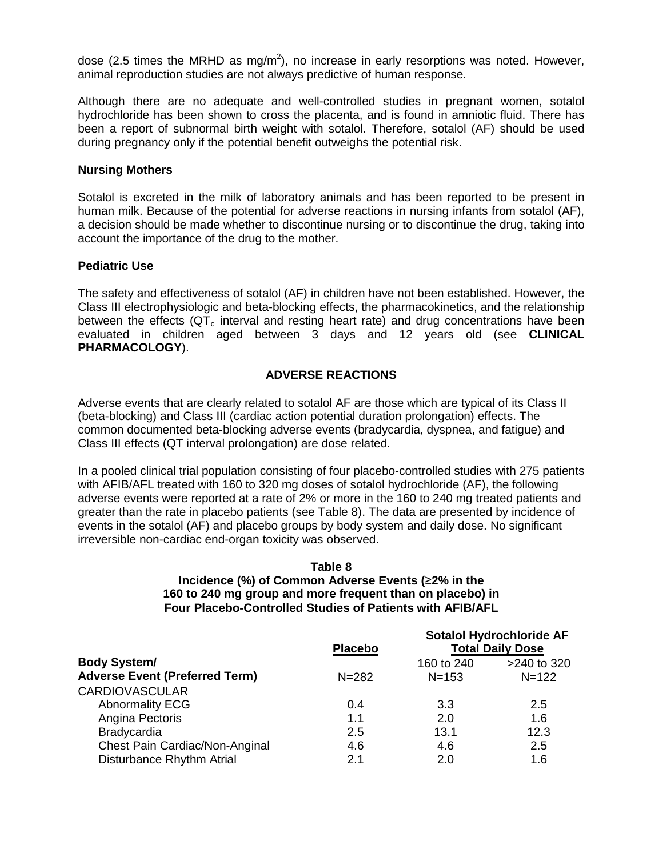dose (2.5 times the MRHD as mg/m<sup>2</sup>), no increase in early resorptions was noted. However, animal reproduction studies are not always predictive of human response.

Although there are no adequate and well-controlled studies in pregnant women, sotalol hydrochloride has been shown to cross the placenta, and is found in amniotic fluid. There has been a report of subnormal birth weight with sotalol. Therefore, sotalol (AF) should be used during pregnancy only if the potential benefit outweighs the potential risk.

## **Nursing Mothers**

Sotalol is excreted in the milk of laboratory animals and has been reported to be present in human milk. Because of the potential for adverse reactions in nursing infants from sotalol (AF), a decision should be made whether to discontinue nursing or to discontinue the drug, taking into account the importance of the drug to the mother.

# **Pediatric Use**

The safety and effectiveness of sotalol (AF) in children have not been established. However, the Class III electrophysiologic and beta-blocking effects, the pharmacokinetics, and the relationship between the effects ( $QT<sub>c</sub>$  interval and resting heart rate) and drug concentrations have been evaluated in children aged between 3 days and 12 years old (see **CLINICAL PHARMACOLOGY**).

# **ADVERSE REACTIONS**

Adverse events that are clearly related to sotalol AF are those which are typical of its Class II (beta-blocking) and Class III (cardiac action potential duration prolongation) effects. The common documented beta-blocking adverse events (bradycardia, dyspnea, and fatigue) and Class III effects (QT interval prolongation) are dose related.

In a pooled clinical trial population consisting of four placebo-controlled studies with 275 patients with AFIB/AFL treated with 160 to 320 mg doses of sotalol hydrochloride (AF), the following adverse events were reported at a rate of 2% or more in the 160 to 240 mg treated patients and greater than the rate in placebo patients (see Table 8). The data are presented by incidence of events in the sotalol (AF) and placebo groups by body system and daily dose. No significant irreversible non-cardiac end-organ toxicity was observed.

## **Table 8 Incidence (%) of Common Adverse Events (**≥**2% in the 160 to 240 mg group and more frequent than on placebo) in Four Placebo-Controlled Studies of Patients with AFIB/AFL**

|                                       | <b>Placebo</b> | Sotalol Hydrochloride AF<br><b>Total Daily Dose</b> |           |
|---------------------------------------|----------------|-----------------------------------------------------|-----------|
| <b>Body System/</b>                   |                | >240 to 320<br>160 to 240                           |           |
| <b>Adverse Event (Preferred Term)</b> | $N = 282$      | $N = 153$                                           | $N = 122$ |
| <b>CARDIOVASCULAR</b>                 |                |                                                     |           |
| <b>Abnormality ECG</b>                | 0.4            | 3.3                                                 | 2.5       |
| Angina Pectoris                       | 1.1            | 2.0                                                 | 1.6       |
| <b>Bradycardia</b>                    | 2.5            | 13.1                                                | 12.3      |
| Chest Pain Cardiac/Non-Anginal        | 4.6            | 4.6                                                 | 2.5       |
| Disturbance Rhythm Atrial             | 2.1            | 2.0                                                 | 1.6       |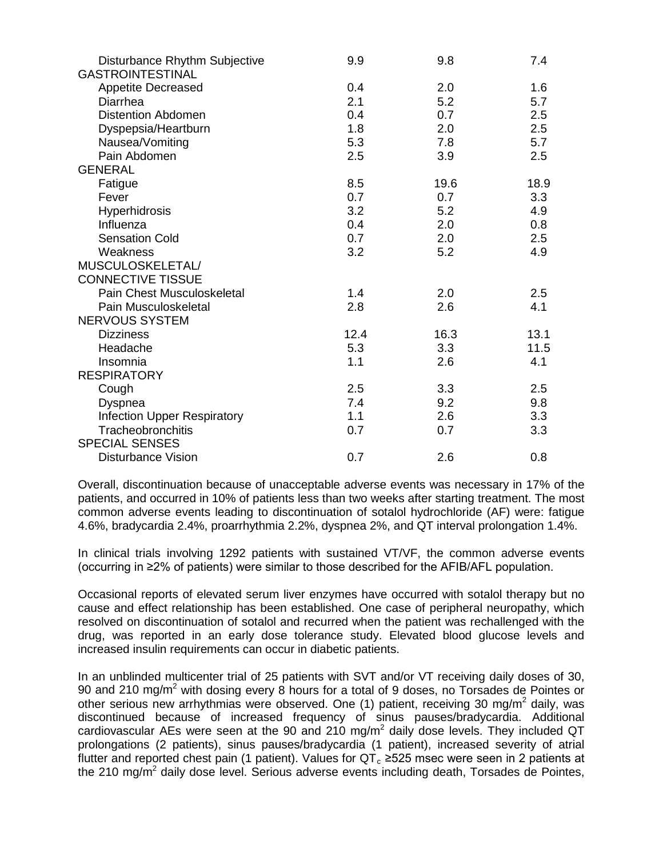| Disturbance Rhythm Subjective<br><b>GASTROINTESTINAL</b> | 9.9  | 9.8  | 7.4  |
|----------------------------------------------------------|------|------|------|
| <b>Appetite Decreased</b>                                | 0.4  | 2.0  | 1.6  |
| Diarrhea                                                 | 2.1  | 5.2  | 5.7  |
| <b>Distention Abdomen</b>                                | 0.4  | 0.7  | 2.5  |
| Dyspepsia/Heartburn                                      | 1.8  | 2.0  | 2.5  |
| Nausea/Vomiting                                          | 5.3  | 7.8  | 5.7  |
| Pain Abdomen                                             | 2.5  | 3.9  | 2.5  |
| <b>GENERAL</b>                                           |      |      |      |
| Fatigue                                                  | 8.5  | 19.6 | 18.9 |
| Fever                                                    | 0.7  | 0.7  | 3.3  |
| <b>Hyperhidrosis</b>                                     | 3.2  | 5.2  | 4.9  |
| Influenza                                                | 0.4  | 2.0  | 0.8  |
| <b>Sensation Cold</b>                                    | 0.7  | 2.0  | 2.5  |
| Weakness                                                 | 3.2  | 5.2  | 4.9  |
| MUSCULOSKELETAL/                                         |      |      |      |
| <b>CONNECTIVE TISSUE</b>                                 |      |      |      |
| Pain Chest Musculoskeletal                               | 1.4  | 2.0  | 2.5  |
| Pain Musculoskeletal                                     | 2.8  | 2.6  | 4.1  |
| <b>NERVOUS SYSTEM</b>                                    |      |      |      |
| <b>Dizziness</b>                                         | 12.4 | 16.3 | 13.1 |
| Headache                                                 | 5.3  | 3.3  | 11.5 |
| Insomnia                                                 | 1.1  | 2.6  | 4.1  |
| <b>RESPIRATORY</b>                                       |      |      |      |
| Cough                                                    | 2.5  | 3.3  | 2.5  |
| Dyspnea                                                  | 7.4  | 9.2  | 9.8  |
| <b>Infection Upper Respiratory</b>                       | 1.1  | 2.6  | 3.3  |
| Tracheobronchitis                                        | 0.7  | 0.7  | 3.3  |
| <b>SPECIAL SENSES</b>                                    |      |      |      |
| <b>Disturbance Vision</b>                                | 0.7  | 2.6  | 0.8  |

Overall, discontinuation because of unacceptable adverse events was necessary in 17% of the patients, and occurred in 10% of patients less than two weeks after starting treatment. The most common adverse events leading to discontinuation of sotalol hydrochloride (AF) were: fatigue 4.6%, bradycardia 2.4%, proarrhythmia 2.2%, dyspnea 2%, and QT interval prolongation 1.4%.

In clinical trials involving 1292 patients with sustained VT/VF, the common adverse events (occurring in ≥2% of patients) were similar to those described for the AFIB/AFL population.

Occasional reports of elevated serum liver enzymes have occurred with sotalol therapy but no cause and effect relationship has been established. One case of peripheral neuropathy, which resolved on discontinuation of sotalol and recurred when the patient was rechallenged with the drug, was reported in an early dose tolerance study. Elevated blood glucose levels and increased insulin requirements can occur in diabetic patients.

In an unblinded multicenter trial of 25 patients with SVT and/or VT receiving daily doses of 30, 90 and 210 mg/m<sup>2</sup> with dosing every 8 hours for a total of 9 doses, no Torsades de Pointes or other serious new arrhythmias were observed. One (1) patient, receiving 30 mg/m<sup>2</sup> daily, was discontinued because of increased frequency of sinus pauses/bradycardia. Additional cardiovascular AEs were seen at the 90 and 210 mg/ $m^2$  daily dose levels. They included QT prolongations (2 patients), sinus pauses/bradycardia (1 patient), increased severity of atrial flutter and reported chest pain (1 patient). Values for  $QT_c \ge 525$  msec were seen in 2 patients at the 210 mg/ $m^2$  daily dose level. Serious adverse events including death, Torsades de Pointes,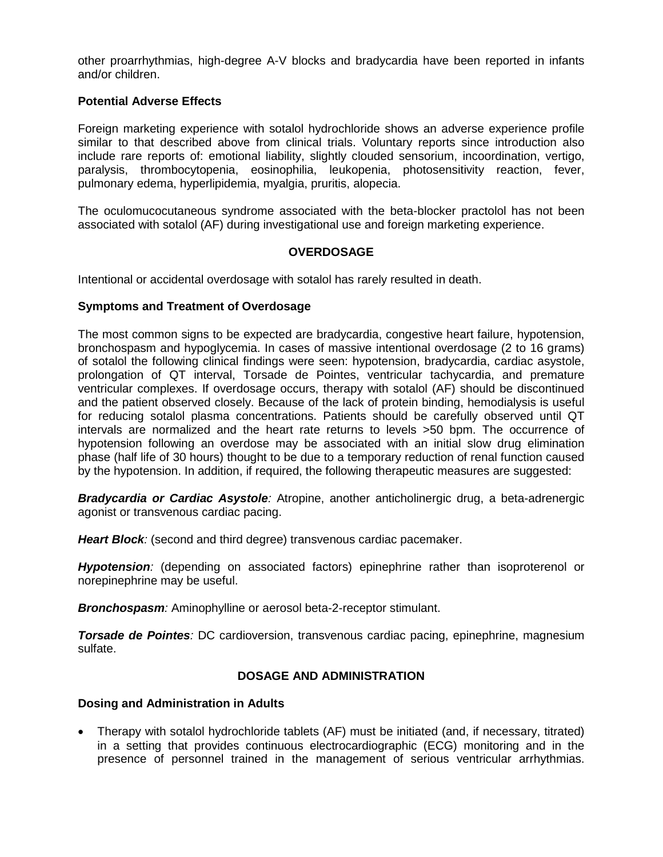other proarrhythmias, high-degree A-V blocks and bradycardia have been reported in infants and/or children.

# **Potential Adverse Effects**

Foreign marketing experience with sotalol hydrochloride shows an adverse experience profile similar to that described above from clinical trials. Voluntary reports since introduction also include rare reports of: emotional liability, slightly clouded sensorium, incoordination, vertigo, paralysis, thrombocytopenia, eosinophilia, leukopenia, photosensitivity reaction, fever, pulmonary edema, hyperlipidemia, myalgia, pruritis, alopecia.

The oculomucocutaneous syndrome associated with the beta-blocker practolol has not been associated with sotalol (AF) during investigational use and foreign marketing experience.

### **OVERDOSAGE**

Intentional or accidental overdosage with sotalol has rarely resulted in death.

### **Symptoms and Treatment of Overdosage**

The most common signs to be expected are bradycardia, congestive heart failure, hypotension, bronchospasm and hypoglycemia. In cases of massive intentional overdosage (2 to 16 grams) of sotalol the following clinical findings were seen: hypotension, bradycardia, cardiac asystole, prolongation of QT interval, Torsade de Pointes, ventricular tachycardia, and premature ventricular complexes. If overdosage occurs, therapy with sotalol (AF) should be discontinued and the patient observed closely. Because of the lack of protein binding, hemodialysis is useful for reducing sotalol plasma concentrations. Patients should be carefully observed until QT intervals are normalized and the heart rate returns to levels >50 bpm. The occurrence of hypotension following an overdose may be associated with an initial slow drug elimination phase (half life of 30 hours) thought to be due to a temporary reduction of renal function caused by the hypotension. In addition, if required, the following therapeutic measures are suggested:

*Bradycardia or Cardiac Asystole:* Atropine, another anticholinergic drug, a beta-adrenergic agonist or transvenous cardiac pacing.

*Heart Block:* (second and third degree) transvenous cardiac pacemaker.

**Hypotension**: (depending on associated factors) epinephrine rather than isoproterenol or norepinephrine may be useful.

**Bronchospasm**: Aminophylline or aerosol beta-2-receptor stimulant.

*Torsade de Pointes:* DC cardioversion, transvenous cardiac pacing, epinephrine, magnesium sulfate.

### **DOSAGE AND ADMINISTRATION**

### **Dosing and Administration in Adults**

• Therapy with sotalol hydrochloride tablets (AF) must be initiated (and, if necessary, titrated) in a setting that provides continuous electrocardiographic (ECG) monitoring and in the presence of personnel trained in the management of serious ventricular arrhythmias.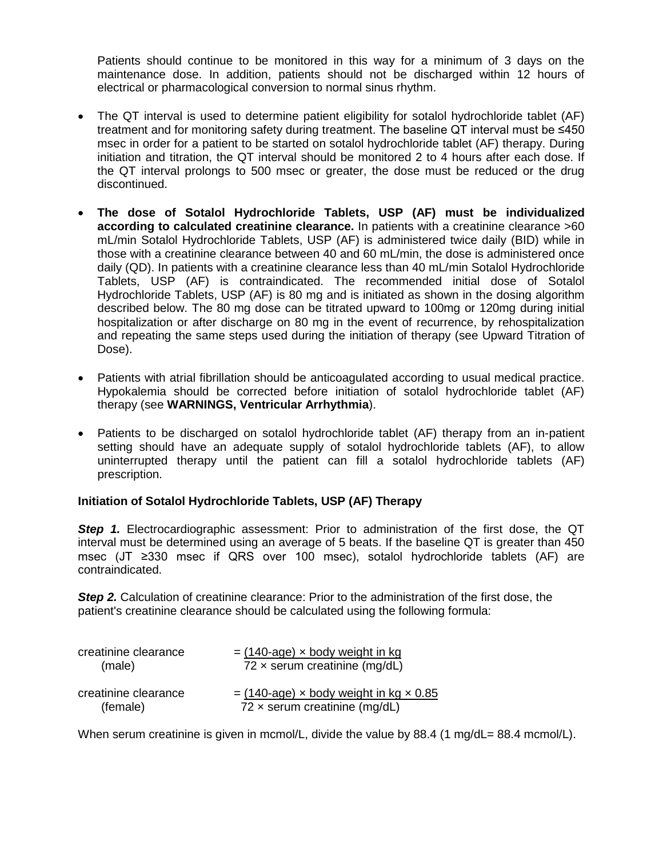Patients should continue to be monitored in this way for a minimum of 3 days on the maintenance dose. In addition, patients should not be discharged within 12 hours of electrical or pharmacological conversion to normal sinus rhythm.

- The QT interval is used to determine patient eligibility for sotalol hydrochloride tablet (AF) treatment and for monitoring safety during treatment. The baseline QT interval must be ≤450 msec in order for a patient to be started on sotalol hydrochloride tablet (AF) therapy. During initiation and titration, the QT interval should be monitored 2 to 4 hours after each dose. If the QT interval prolongs to 500 msec or greater, the dose must be reduced or the drug discontinued.
- **The dose of Sotalol Hydrochloride Tablets, USP (AF) must be individualized according to calculated creatinine clearance.** In patients with a creatinine clearance >60 mL/min Sotalol Hydrochloride Tablets, USP (AF) is administered twice daily (BID) while in those with a creatinine clearance between 40 and 60 mL/min, the dose is administered once daily (QD). In patients with a creatinine clearance less than 40 mL/min Sotalol Hydrochloride Tablets, USP (AF) is contraindicated. The recommended initial dose of Sotalol Hydrochloride Tablets, USP (AF) is 80 mg and is initiated as shown in the dosing algorithm described below. The 80 mg dose can be titrated upward to 100mg or 120mg during initial hospitalization or after discharge on 80 mg in the event of recurrence, by rehospitalization and repeating the same steps used during the initiation of therapy (see Upward Titration of Dose).
- Patients with atrial fibrillation should be anticoagulated according to usual medical practice. Hypokalemia should be corrected before initiation of sotalol hydrochloride tablet (AF) therapy (see **WARNINGS, Ventricular Arrhythmia**).
- Patients to be discharged on sotalol hydrochloride tablet (AF) therapy from an in-patient setting should have an adequate supply of sotalol hydrochloride tablets (AF), to allow uninterrupted therapy until the patient can fill a sotalol hydrochloride tablets (AF) prescription.

# **Initiation of Sotalol Hydrochloride Tablets, USP (AF) Therapy**

**Step 1.** Electrocardiographic assessment: Prior to administration of the first dose, the QT interval must be determined using an average of 5 beats. If the baseline QT is greater than 450 msec (JT ≥330 msec if QRS over 100 msec), sotalol hydrochloride tablets (AF) are contraindicated.

*Step 2.* Calculation of creatinine clearance: Prior to the administration of the first dose, the patient's creatinine clearance should be calculated using the following formula:

| creatinine clearance | $=$ (140-age) $\times$ body weight in kg |
|----------------------|------------------------------------------|
| (male)               | $72 \times$ serum creatinine (mg/dL)     |
| creatinine clearance | $=$ (140-age) x body weight in kg x 0.85 |
| (female)             | $72 \times$ serum creatinine (mg/dL)     |

When serum creatinine is given in mcmol/L, divide the value by 88.4 (1 mg/dL= 88.4 mcmol/L).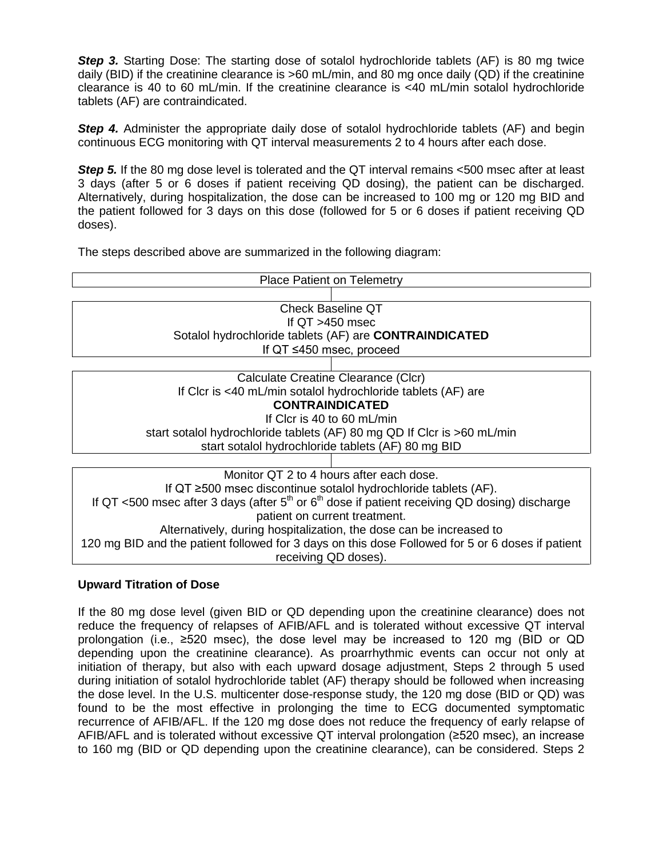**Step 3.** Starting Dose: The starting dose of sotalol hydrochloride tablets (AF) is 80 mg twice daily (BID) if the creatinine clearance is >60 mL/min, and 80 mg once daily (QD) if the creatinine clearance is 40 to 60 mL/min. If the creatinine clearance is <40 mL/min sotalol hydrochloride tablets (AF) are contraindicated.

**Step 4.** Administer the appropriate daily dose of sotalol hydrochloride tablets (AF) and begin continuous ECG monitoring with QT interval measurements 2 to 4 hours after each dose.

**Step 5.** If the 80 mg dose level is tolerated and the QT interval remains <500 msec after at least 3 days (after 5 or 6 doses if patient receiving QD dosing), the patient can be discharged. Alternatively, during hospitalization, the dose can be increased to 100 mg or 120 mg BID and the patient followed for 3 days on this dose (followed for 5 or 6 doses if patient receiving QD doses).

The steps described above are summarized in the following diagram:

| <b>Place Patient on Telemetry</b>                                                                 |  |  |
|---------------------------------------------------------------------------------------------------|--|--|
|                                                                                                   |  |  |
| <b>Check Baseline QT</b>                                                                          |  |  |
| If $QT > 450$ msec                                                                                |  |  |
| Sotalol hydrochloride tablets (AF) are <b>CONTRAINDICATED</b>                                     |  |  |
| If $QT \leq 450$ msec, proceed                                                                    |  |  |
|                                                                                                   |  |  |
| Calculate Creatine Clearance (Clcr)                                                               |  |  |
| If Clcr is <40 mL/min sotalol hydrochloride tablets (AF) are                                      |  |  |
| <b>CONTRAINDICATED</b>                                                                            |  |  |
| If Clcr is 40 to 60 mL/min                                                                        |  |  |
| start sotalol hydrochloride tablets (AF) 80 mg QD If Clcr is >60 mL/min                           |  |  |
| start sotalol hydrochloride tablets (AF) 80 mg BID                                                |  |  |
|                                                                                                   |  |  |
| Monitor QT 2 to 4 hours after each dose.                                                          |  |  |
| If $QT \geq 500$ msec discontinue sotalol hydrochloride tablets (AF).                             |  |  |
| If QT <500 msec after 3 days (after $5th$ or $6th$ dose if patient receiving QD dosing) discharge |  |  |
| patient on current treatment.                                                                     |  |  |

Alternatively, during hospitalization, the dose can be increased to 120 mg BID and the patient followed for 3 days on this dose Followed for 5 or 6 doses if patient receiving QD doses).

# **Upward Titration of Dose**

If the 80 mg dose level (given BID or QD depending upon the creatinine clearance) does not reduce the frequency of relapses of AFIB/AFL and is tolerated without excessive QT interval prolongation (i.e., ≥520 msec), the dose level may be increased to 120 mg (BID or QD depending upon the creatinine clearance). As proarrhythmic events can occur not only at initiation of therapy, but also with each upward dosage adjustment, Steps 2 through 5 used during initiation of sotalol hydrochloride tablet (AF) therapy should be followed when increasing the dose level. In the U.S. multicenter dose-response study, the 120 mg dose (BID or QD) was found to be the most effective in prolonging the time to ECG documented symptomatic recurrence of AFIB/AFL. If the 120 mg dose does not reduce the frequency of early relapse of AFIB/AFL and is tolerated without excessive QT interval prolongation (≥520 msec), an increase to 160 mg (BID or QD depending upon the creatinine clearance), can be considered. Steps 2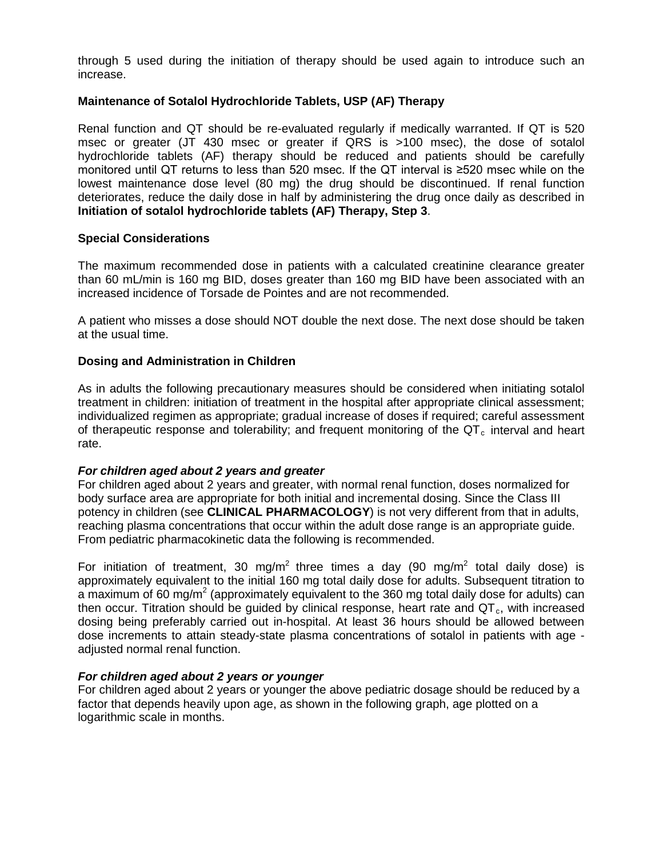through 5 used during the initiation of therapy should be used again to introduce such an increase.

# **Maintenance of Sotalol Hydrochloride Tablets, USP (AF) Therapy**

Renal function and QT should be re-evaluated regularly if medically warranted. If QT is 520 msec or greater (JT 430 msec or greater if QRS is >100 msec), the dose of sotalol hydrochloride tablets (AF) therapy should be reduced and patients should be carefully monitored until QT returns to less than 520 msec. If the QT interval is ≥520 msec while on the lowest maintenance dose level (80 mg) the drug should be discontinued. If renal function deteriorates, reduce the daily dose in half by administering the drug once daily as described in **Initiation of sotalol hydrochloride tablets (AF) Therapy, Step 3**.

### **Special Considerations**

The maximum recommended dose in patients with a calculated creatinine clearance greater than 60 mL/min is 160 mg BID, doses greater than 160 mg BID have been associated with an increased incidence of Torsade de Pointes and are not recommended.

A patient who misses a dose should NOT double the next dose. The next dose should be taken at the usual time.

### **Dosing and Administration in Children**

As in adults the following precautionary measures should be considered when initiating sotalol treatment in children: initiation of treatment in the hospital after appropriate clinical assessment; individualized regimen as appropriate; gradual increase of doses if required; careful assessment of therapeutic response and tolerability; and frequent monitoring of the  $QT<sub>c</sub>$  interval and heart rate.

### *For children aged about 2 years and greater*

For children aged about 2 years and greater, with normal renal function, doses normalized for body surface area are appropriate for both initial and incremental dosing. Since the Class III potency in children (see **CLINICAL PHARMACOLOGY**) is not very different from that in adults, reaching plasma concentrations that occur within the adult dose range is an appropriate guide. From pediatric pharmacokinetic data the following is recommended.

For initiation of treatment, 30 mg/m<sup>2</sup> three times a day (90 mg/m<sup>2</sup> total daily dose) is approximately equivalent to the initial 160 mg total daily dose for adults. Subsequent titration to a maximum of 60 mg/m<sup>2</sup> (approximately equivalent to the 360 mg total daily dose for adults) can then occur. Titration should be quided by clinical response, heart rate and  $QT<sub>c</sub>$ , with increased dosing being preferably carried out in-hospital. At least 36 hours should be allowed between dose increments to attain steady-state plasma concentrations of sotalol in patients with age adjusted normal renal function.

### *For children aged about 2 years or younger*

For children aged about 2 years or younger the above pediatric dosage should be reduced by a factor that depends heavily upon age, as shown in the following graph, age plotted on a logarithmic scale in months.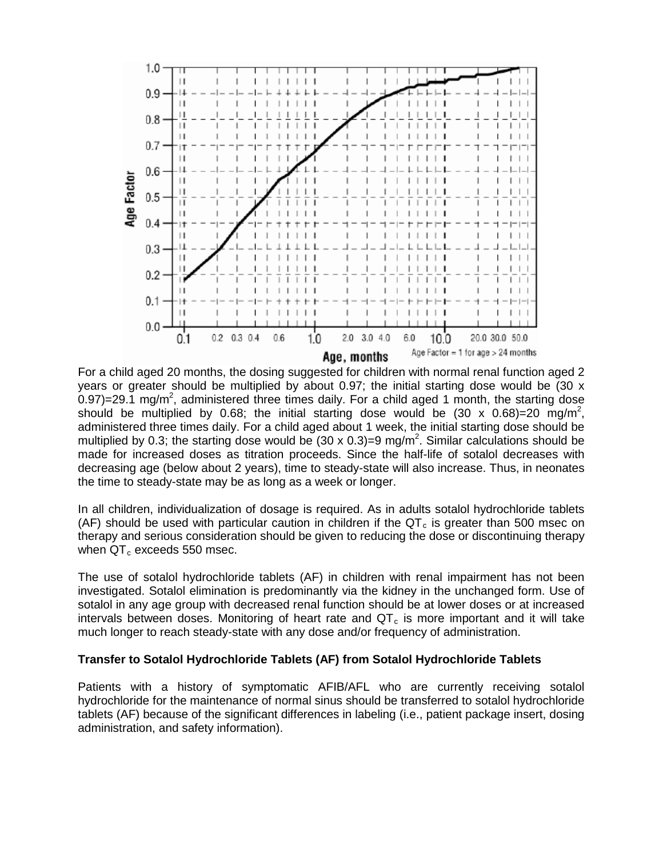

For a child aged 20 months, the dosing suggested for children with normal renal function aged 2 years or greater should be multiplied by about 0.97; the initial starting dose would be (30  $\times$ 0.97)=29.1 mg/m<sup>2</sup>, administered three times daily. For a child aged 1 month, the starting dose should be multiplied by 0.68; the initial starting dose would be  $(30 \times 0.68) = 20$  mg/m<sup>2</sup>, administered three times daily. For a child aged about 1 week, the initial starting dose should be multiplied by 0.3; the starting dose would be  $(30 \times 0.3)=9$  mg/m<sup>2</sup>. Similar calculations should be made for increased doses as titration proceeds. Since the half-life of sotalol decreases with decreasing age (below about 2 years), time to steady-state will also increase. Thus, in neonates the time to steady-state may be as long as a week or longer.

In all children, individualization of dosage is required. As in adults sotalol hydrochloride tablets (AF) should be used with particular caution in children if the  $QT<sub>c</sub>$  is greater than 500 msec on therapy and serious consideration should be given to reducing the dose or discontinuing therapy when  $QT_c$  exceeds 550 msec.

The use of sotalol hydrochloride tablets (AF) in children with renal impairment has not been investigated. Sotalol elimination is predominantly via the kidney in the unchanged form. Use of sotalol in any age group with decreased renal function should be at lower doses or at increased intervals between doses. Monitoring of heart rate and  $QT<sub>c</sub>$  is more important and it will take much longer to reach steady-state with any dose and/or frequency of administration.

### **Transfer to Sotalol Hydrochloride Tablets (AF) from Sotalol Hydrochloride Tablets**

Patients with a history of symptomatic AFIB/AFL who are currently receiving sotalol hydrochloride for the maintenance of normal sinus should be transferred to sotalol hydrochloride tablets (AF) because of the significant differences in labeling (i.e., patient package insert, dosing administration, and safety information).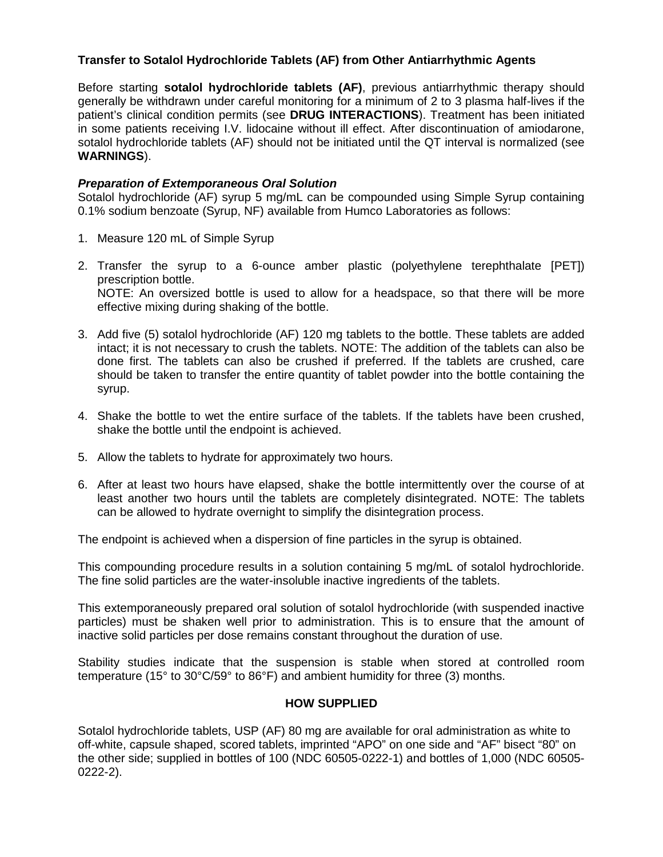# **Transfer to Sotalol Hydrochloride Tablets (AF) from Other Antiarrhythmic Agents**

Before starting **sotalol hydrochloride tablets (AF)**, previous antiarrhythmic therapy should generally be withdrawn under careful monitoring for a minimum of 2 to 3 plasma half-lives if the patient's clinical condition permits (see **DRUG INTERACTIONS**). Treatment has been initiated in some patients receiving I.V. lidocaine without ill effect. After discontinuation of amiodarone, sotalol hydrochloride tablets (AF) should not be initiated until the QT interval is normalized (see **WARNINGS**).

# *Preparation of Extemporaneous Oral Solution*

Sotalol hydrochloride (AF) syrup 5 mg/mL can be compounded using Simple Syrup containing 0.1% sodium benzoate (Syrup, NF) available from Humco Laboratories as follows:

- 1. Measure 120 mL of Simple Syrup
- 2. Transfer the syrup to a 6-ounce amber plastic (polyethylene terephthalate [PET]) prescription bottle. NOTE: An oversized bottle is used to allow for a headspace, so that there will be more effective mixing during shaking of the bottle.
- 3. Add five (5) sotalol hydrochloride (AF) 120 mg tablets to the bottle. These tablets are added intact; it is not necessary to crush the tablets. NOTE: The addition of the tablets can also be done first. The tablets can also be crushed if preferred. If the tablets are crushed, care should be taken to transfer the entire quantity of tablet powder into the bottle containing the syrup.
- 4. Shake the bottle to wet the entire surface of the tablets. If the tablets have been crushed, shake the bottle until the endpoint is achieved.
- 5. Allow the tablets to hydrate for approximately two hours.
- 6. After at least two hours have elapsed, shake the bottle intermittently over the course of at least another two hours until the tablets are completely disintegrated. NOTE: The tablets can be allowed to hydrate overnight to simplify the disintegration process.

The endpoint is achieved when a dispersion of fine particles in the syrup is obtained.

This compounding procedure results in a solution containing 5 mg/mL of sotalol hydrochloride. The fine solid particles are the water-insoluble inactive ingredients of the tablets.

This extemporaneously prepared oral solution of sotalol hydrochloride (with suspended inactive particles) must be shaken well prior to administration. This is to ensure that the amount of inactive solid particles per dose remains constant throughout the duration of use.

Stability studies indicate that the suspension is stable when stored at controlled room temperature (15° to 30°C/59° to 86°F) and ambient humidity for three (3) months.

### **HOW SUPPLIED**

Sotalol hydrochloride tablets, USP (AF) 80 mg are available for oral administration as white to off-white, capsule shaped, scored tablets, imprinted "APO" on one side and "AF" bisect "80" on the other side; supplied in bottles of 100 (NDC 60505-0222-1) and bottles of 1,000 (NDC 60505- 0222-2).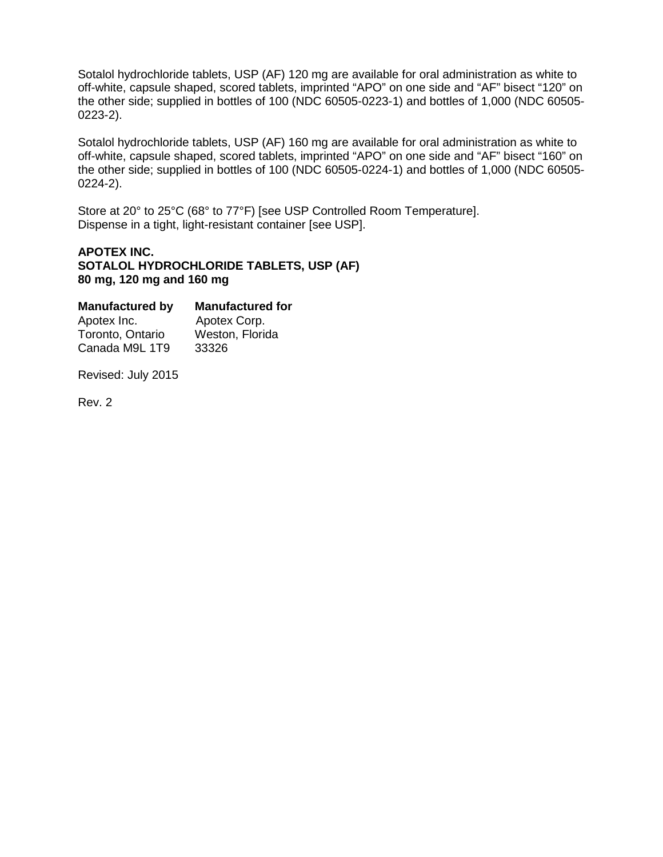Sotalol hydrochloride tablets, USP (AF) 120 mg are available for oral administration as white to off-white, capsule shaped, scored tablets, imprinted "APO" on one side and "AF" bisect "120" on the other side; supplied in bottles of 100 (NDC 60505-0223-1) and bottles of 1,000 (NDC 60505- 0223-2).

Sotalol hydrochloride tablets, USP (AF) 160 mg are available for oral administration as white to off-white, capsule shaped, scored tablets, imprinted "APO" on one side and "AF" bisect "160" on the other side; supplied in bottles of 100 (NDC 60505-0224-1) and bottles of 1,000 (NDC 60505- 0224-2).

Store at 20° to 25°C (68° to 77°F) [see USP Controlled Room Temperature]. Dispense in a tight, light-resistant container [see USP].

# **APOTEX INC. SOTALOL HYDROCHLORIDE TABLETS, USP (AF) 80 mg, 120 mg and 160 mg**

| <b>Manufactured for</b> |  |  |
|-------------------------|--|--|
| Apotex Corp.            |  |  |
| Weston, Florida         |  |  |
| 33326                   |  |  |
|                         |  |  |

Revised: July 2015

Rev. 2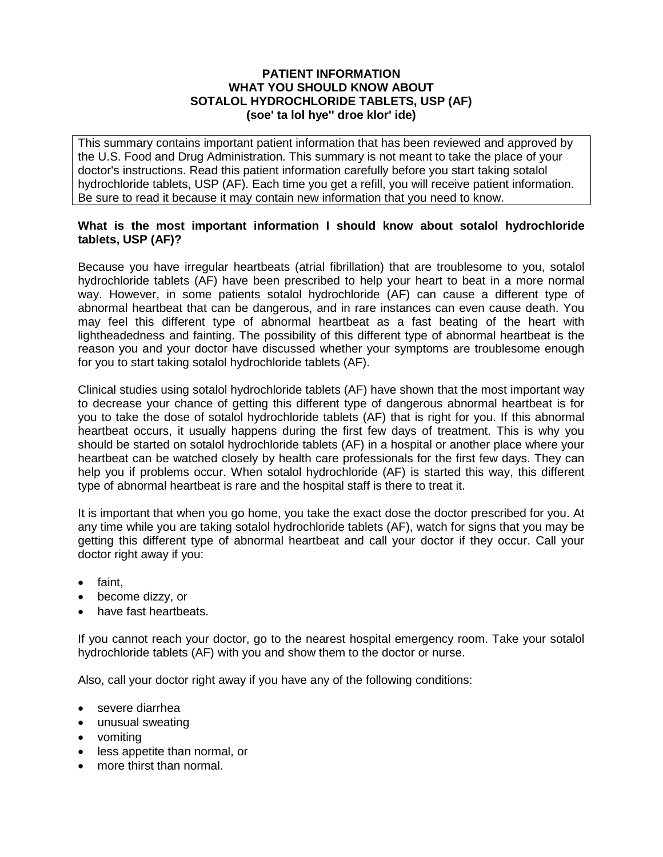## **PATIENT INFORMATION WHAT YOU SHOULD KNOW ABOUT SOTALOL HYDROCHLORIDE TABLETS, USP (AF) (soe' ta lol hye'' droe klor' ide)**

This summary contains important patient information that has been reviewed and approved by the U.S. Food and Drug Administration. This summary is not meant to take the place of your doctor's instructions. Read this patient information carefully before you start taking sotalol hydrochloride tablets, USP (AF). Each time you get a refill, you will receive patient information. Be sure to read it because it may contain new information that you need to know.

# **What is the most important information I should know about sotalol hydrochloride tablets, USP (AF)?**

Because you have irregular heartbeats (atrial fibrillation) that are troublesome to you, sotalol hydrochloride tablets (AF) have been prescribed to help your heart to beat in a more normal way. However, in some patients sotalol hydrochloride (AF) can cause a different type of abnormal heartbeat that can be dangerous, and in rare instances can even cause death. You may feel this different type of abnormal heartbeat as a fast beating of the heart with lightheadedness and fainting. The possibility of this different type of abnormal heartbeat is the reason you and your doctor have discussed whether your symptoms are troublesome enough for you to start taking sotalol hydrochloride tablets (AF).

Clinical studies using sotalol hydrochloride tablets (AF) have shown that the most important way to decrease your chance of getting this different type of dangerous abnormal heartbeat is for you to take the dose of sotalol hydrochloride tablets (AF) that is right for you. If this abnormal heartbeat occurs, it usually happens during the first few days of treatment. This is why you should be started on sotalol hydrochloride tablets (AF) in a hospital or another place where your heartbeat can be watched closely by health care professionals for the first few days. They can help you if problems occur. When sotalol hydrochloride (AF) is started this way, this different type of abnormal heartbeat is rare and the hospital staff is there to treat it.

It is important that when you go home, you take the exact dose the doctor prescribed for you. At any time while you are taking sotalol hydrochloride tablets (AF), watch for signs that you may be getting this different type of abnormal heartbeat and call your doctor if they occur. Call your doctor right away if you:

- faint,
- become dizzy, or
- have fast heartbeats.

If you cannot reach your doctor, go to the nearest hospital emergency room. Take your sotalol hydrochloride tablets (AF) with you and show them to the doctor or nurse.

Also, call your doctor right away if you have any of the following conditions:

- severe diarrhea
- unusual sweating
- vomiting
- less appetite than normal, or
- more thirst than normal.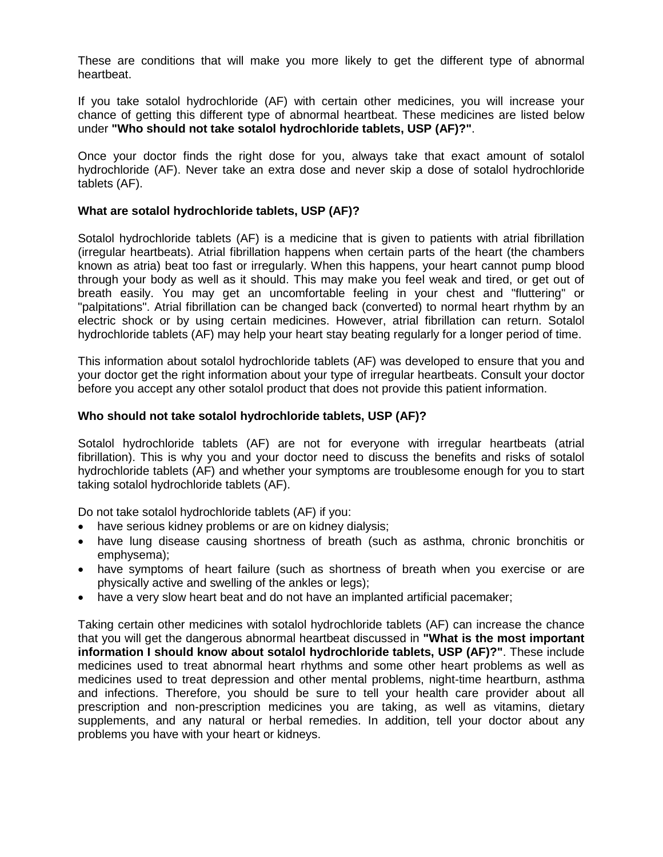These are conditions that will make you more likely to get the different type of abnormal heartbeat.

If you take sotalol hydrochloride (AF) with certain other medicines, you will increase your chance of getting this different type of abnormal heartbeat. These medicines are listed below under **"Who should not take sotalol hydrochloride tablets, USP (AF)?"**.

Once your doctor finds the right dose for you, always take that exact amount of sotalol hydrochloride (AF). Never take an extra dose and never skip a dose of sotalol hydrochloride tablets (AF).

### **What are sotalol hydrochloride tablets, USP (AF)?**

Sotalol hydrochloride tablets (AF) is a medicine that is given to patients with atrial fibrillation (irregular heartbeats). Atrial fibrillation happens when certain parts of the heart (the chambers known as atria) beat too fast or irregularly. When this happens, your heart cannot pump blood through your body as well as it should. This may make you feel weak and tired, or get out of breath easily. You may get an uncomfortable feeling in your chest and "fluttering" or "palpitations". Atrial fibrillation can be changed back (converted) to normal heart rhythm by an electric shock or by using certain medicines. However, atrial fibrillation can return. Sotalol hydrochloride tablets (AF) may help your heart stay beating regularly for a longer period of time.

This information about sotalol hydrochloride tablets (AF) was developed to ensure that you and your doctor get the right information about your type of irregular heartbeats. Consult your doctor before you accept any other sotalol product that does not provide this patient information.

### **Who should not take sotalol hydrochloride tablets, USP (AF)?**

Sotalol hydrochloride tablets (AF) are not for everyone with irregular heartbeats (atrial fibrillation). This is why you and your doctor need to discuss the benefits and risks of sotalol hydrochloride tablets (AF) and whether your symptoms are troublesome enough for you to start taking sotalol hydrochloride tablets (AF).

Do not take sotalol hydrochloride tablets (AF) if you:

- have serious kidney problems or are on kidney dialysis;
- have lung disease causing shortness of breath (such as asthma, chronic bronchitis or emphysema);
- have symptoms of heart failure (such as shortness of breath when you exercise or are physically active and swelling of the ankles or legs);
- have a very slow heart beat and do not have an implanted artificial pacemaker;

Taking certain other medicines with sotalol hydrochloride tablets (AF) can increase the chance that you will get the dangerous abnormal heartbeat discussed in **"What is the most important information I should know about sotalol hydrochloride tablets, USP (AF)?"**. These include medicines used to treat abnormal heart rhythms and some other heart problems as well as medicines used to treat depression and other mental problems, night-time heartburn, asthma and infections. Therefore, you should be sure to tell your health care provider about all prescription and non-prescription medicines you are taking, as well as vitamins, dietary supplements, and any natural or herbal remedies. In addition, tell your doctor about any problems you have with your heart or kidneys.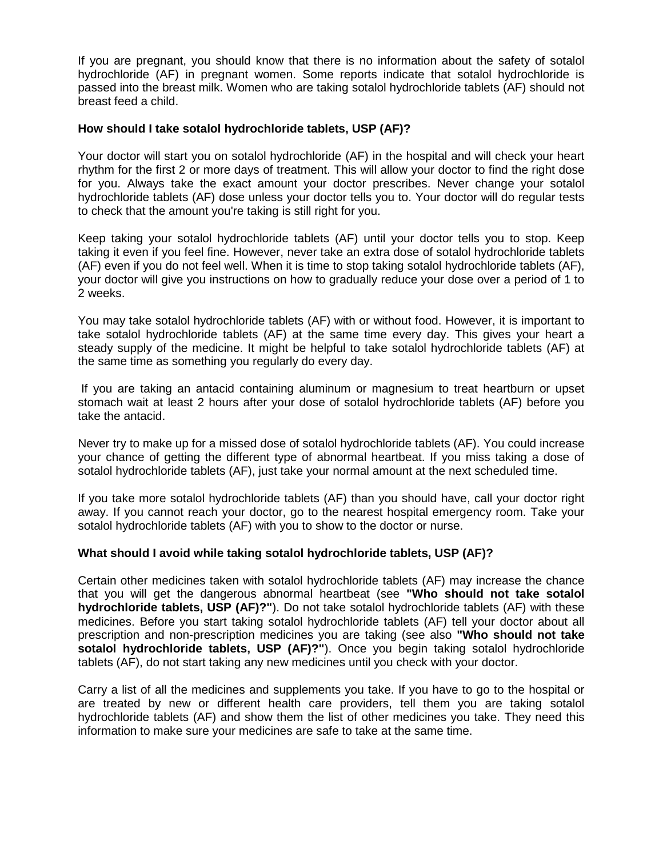If you are pregnant, you should know that there is no information about the safety of sotalol hydrochloride (AF) in pregnant women. Some reports indicate that sotalol hydrochloride is passed into the breast milk. Women who are taking sotalol hydrochloride tablets (AF) should not breast feed a child.

# **How should I take sotalol hydrochloride tablets, USP (AF)?**

Your doctor will start you on sotalol hydrochloride (AF) in the hospital and will check your heart rhythm for the first 2 or more days of treatment. This will allow your doctor to find the right dose for you. Always take the exact amount your doctor prescribes. Never change your sotalol hydrochloride tablets (AF) dose unless your doctor tells you to. Your doctor will do regular tests to check that the amount you're taking is still right for you.

Keep taking your sotalol hydrochloride tablets (AF) until your doctor tells you to stop. Keep taking it even if you feel fine. However, never take an extra dose of sotalol hydrochloride tablets (AF) even if you do not feel well. When it is time to stop taking sotalol hydrochloride tablets (AF), your doctor will give you instructions on how to gradually reduce your dose over a period of 1 to 2 weeks.

You may take sotalol hydrochloride tablets (AF) with or without food. However, it is important to take sotalol hydrochloride tablets (AF) at the same time every day. This gives your heart a steady supply of the medicine. It might be helpful to take sotalol hydrochloride tablets (AF) at the same time as something you regularly do every day.

If you are taking an antacid containing aluminum or magnesium to treat heartburn or upset stomach wait at least 2 hours after your dose of sotalol hydrochloride tablets (AF) before you take the antacid.

Never try to make up for a missed dose of sotalol hydrochloride tablets (AF). You could increase your chance of getting the different type of abnormal heartbeat. If you miss taking a dose of sotalol hydrochloride tablets (AF), just take your normal amount at the next scheduled time.

If you take more sotalol hydrochloride tablets (AF) than you should have, call your doctor right away. If you cannot reach your doctor, go to the nearest hospital emergency room. Take your sotalol hydrochloride tablets (AF) with you to show to the doctor or nurse.

# **What should I avoid while taking sotalol hydrochloride tablets, USP (AF)?**

Certain other medicines taken with sotalol hydrochloride tablets (AF) may increase the chance that you will get the dangerous abnormal heartbeat (see **"Who should not take sotalol hydrochloride tablets, USP (AF)?"**). Do not take sotalol hydrochloride tablets (AF) with these medicines. Before you start taking sotalol hydrochloride tablets (AF) tell your doctor about all prescription and non-prescription medicines you are taking (see also **"Who should not take sotalol hydrochloride tablets, USP (AF)?"**). Once you begin taking sotalol hydrochloride tablets (AF), do not start taking any new medicines until you check with your doctor.

Carry a list of all the medicines and supplements you take. If you have to go to the hospital or are treated by new or different health care providers, tell them you are taking sotalol hydrochloride tablets (AF) and show them the list of other medicines you take. They need this information to make sure your medicines are safe to take at the same time.